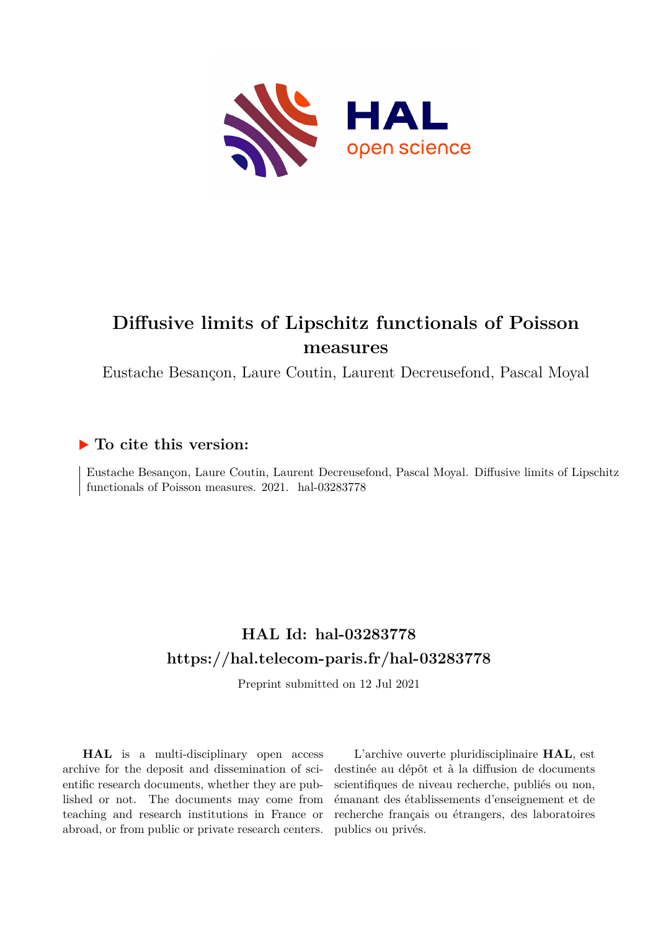

# **Diffusive limits of Lipschitz functionals of Poisson measures**

Eustache Besançon, Laure Coutin, Laurent Decreusefond, Pascal Moyal

### **To cite this version:**

Eustache Besançon, Laure Coutin, Laurent Decreusefond, Pascal Moyal. Diffusive limits of Lipschitz functionals of Poisson measures.  $2021.$  hal- $03283778$ 

## **HAL Id: hal-03283778 <https://hal.telecom-paris.fr/hal-03283778>**

Preprint submitted on 12 Jul 2021

**HAL** is a multi-disciplinary open access archive for the deposit and dissemination of scientific research documents, whether they are published or not. The documents may come from teaching and research institutions in France or abroad, or from public or private research centers.

L'archive ouverte pluridisciplinaire **HAL**, est destinée au dépôt et à la diffusion de documents scientifiques de niveau recherche, publiés ou non, émanant des établissements d'enseignement et de recherche français ou étrangers, des laboratoires publics ou privés.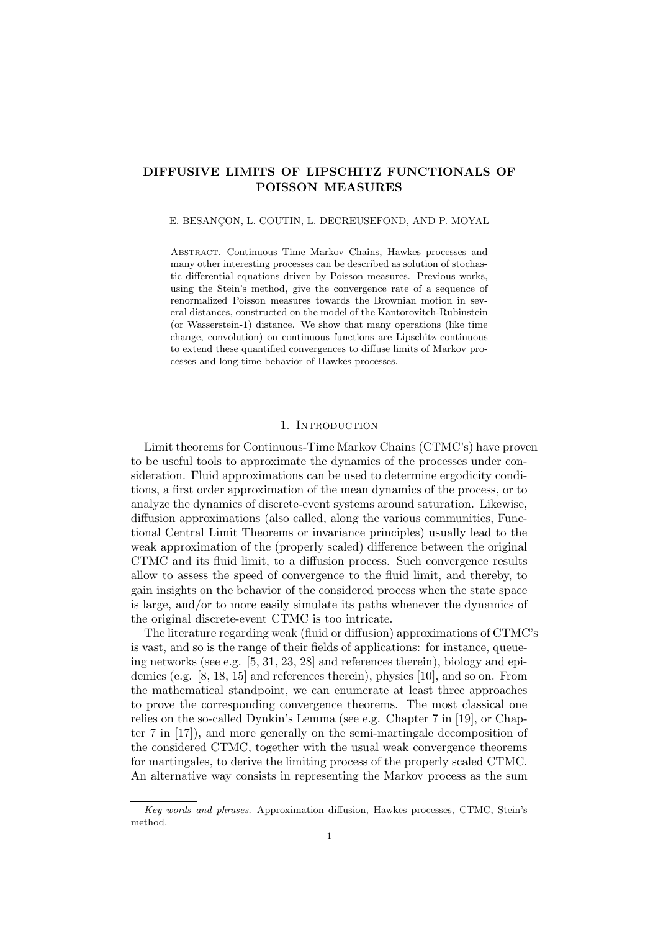### DIFFUSIVE LIMITS OF LIPSCHITZ FUNCTIONALS OF POISSON MEASURES

#### E. BESANÇON, L. COUTIN, L. DECREUSEFOND, AND P. MOYAL

Abstract. Continuous Time Markov Chains, Hawkes processes and many other interesting processes can be described as solution of stochastic differential equations driven by Poisson measures. Previous works, using the Stein's method, give the convergence rate of a sequence of renormalized Poisson measures towards the Brownian motion in several distances, constructed on the model of the Kantorovitch-Rubinstein (or Wasserstein-1) distance. We show that many operations (like time change, convolution) on continuous functions are Lipschitz continuous to extend these quantified convergences to diffuse limits of Markov processes and long-time behavior of Hawkes processes.

#### 1. INTRODUCTION

Limit theorems for Continuous-Time Markov Chains (CTMC's) have proven to be useful tools to approximate the dynamics of the processes under consideration. Fluid approximations can be used to determine ergodicity conditions, a first order approximation of the mean dynamics of the process, or to analyze the dynamics of discrete-event systems around saturation. Likewise, diffusion approximations (also called, along the various communities, Functional Central Limit Theorems or invariance principles) usually lead to the weak approximation of the (properly scaled) difference between the original CTMC and its fluid limit, to a diffusion process. Such convergence results allow to assess the speed of convergence to the fluid limit, and thereby, to gain insights on the behavior of the considered process when the state space is large, and/or to more easily simulate its paths whenever the dynamics of the original discrete-event CTMC is too intricate.

The literature regarding weak (fluid or diffusion) approximations of CTMC's is vast, and so is the range of their fields of applications: for instance, queueing networks (see e.g. [5, 31, 23, 28] and references therein), biology and epidemics (e.g. [8, 18, 15] and references therein), physics [10], and so on. From the mathematical standpoint, we can enumerate at least three approaches to prove the corresponding convergence theorems. The most classical one relies on the so-called Dynkin's Lemma (see e.g. Chapter 7 in [19], or Chapter 7 in [17]), and more generally on the semi-martingale decomposition of the considered CTMC, together with the usual weak convergence theorems for martingales, to derive the limiting process of the properly scaled CTMC. An alternative way consists in representing the Markov process as the sum

Key words and phrases. Approximation diffusion, Hawkes processes, CTMC, Stein's method.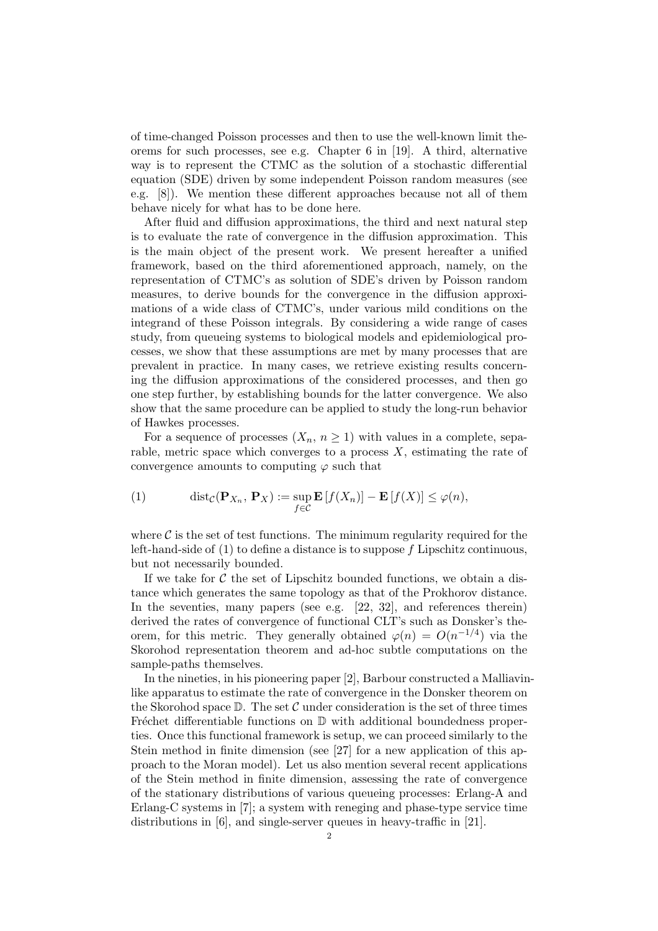of time-changed Poisson processes and then to use the well-known limit theorems for such processes, see e.g. Chapter 6 in [19]. A third, alternative way is to represent the CTMC as the solution of a stochastic differential equation (SDE) driven by some independent Poisson random measures (see e.g. [8]). We mention these different approaches because not all of them behave nicely for what has to be done here.

After fluid and diffusion approximations, the third and next natural step is to evaluate the rate of convergence in the diffusion approximation. This is the main object of the present work. We present hereafter a unified framework, based on the third aforementioned approach, namely, on the representation of CTMC's as solution of SDE's driven by Poisson random measures, to derive bounds for the convergence in the diffusion approximations of a wide class of CTMC's, under various mild conditions on the integrand of these Poisson integrals. By considering a wide range of cases study, from queueing systems to biological models and epidemiological processes, we show that these assumptions are met by many processes that are prevalent in practice. In many cases, we retrieve existing results concerning the diffusion approximations of the considered processes, and then go one step further, by establishing bounds for the latter convergence. We also show that the same procedure can be applied to study the long-run behavior of Hawkes processes.

For a sequence of processes  $(X_n, n \geq 1)$  with values in a complete, separable, metric space which converges to a process  $X$ , estimating the rate of convergence amounts to computing  $\varphi$  such that

(1) 
$$
\operatorname{dist}_{\mathcal{C}}(\mathbf{P}_{X_n}, \mathbf{P}_X) := \sup_{f \in \mathcal{C}} \mathbf{E}[f(X_n)] - \mathbf{E}[f(X)] \le \varphi(n),
$$

where  $\mathcal C$  is the set of test functions. The minimum regularity required for the left-hand-side of  $(1)$  to define a distance is to suppose  $f$  Lipschitz continuous, but not necessarily bounded.

If we take for  $C$  the set of Lipschitz bounded functions, we obtain a distance which generates the same topology as that of the Prokhorov distance. In the seventies, many papers (see e.g. [22, 32], and references therein) derived the rates of convergence of functional CLT's such as Donsker's theorem, for this metric. They generally obtained  $\varphi(n) = O(n^{-1/4})$  via the Skorohod representation theorem and ad-hoc subtle computations on the sample-paths themselves.

In the nineties, in his pioneering paper [2], Barbour constructed a Malliavinlike apparatus to estimate the rate of convergence in the Donsker theorem on the Skorohod space  $\mathbb D$ . The set C under consideration is the set of three times Fréchet differentiable functions on  $\mathbb D$  with additional boundedness properties. Once this functional framework is setup, we can proceed similarly to the Stein method in finite dimension (see [27] for a new application of this approach to the Moran model). Let us also mention several recent applications of the Stein method in finite dimension, assessing the rate of convergence of the stationary distributions of various queueing processes: Erlang-A and Erlang-C systems in [7]; a system with reneging and phase-type service time distributions in [6], and single-server queues in heavy-traffic in [21].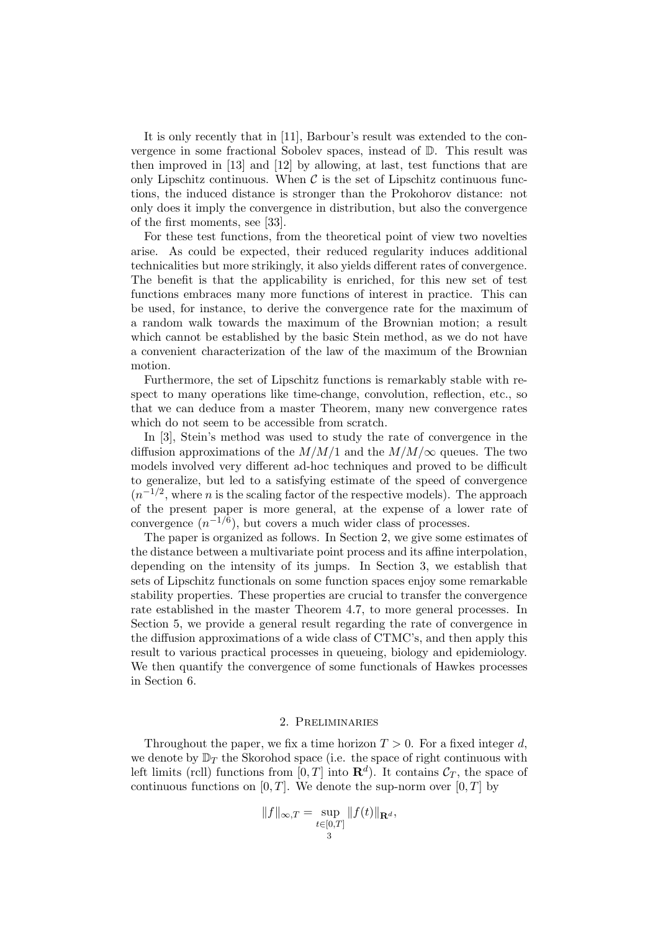It is only recently that in [11], Barbour's result was extended to the convergence in some fractional Sobolev spaces, instead of D. This result was then improved in [13] and [12] by allowing, at last, test functions that are only Lipschitz continuous. When  $\mathcal C$  is the set of Lipschitz continuous functions, the induced distance is stronger than the Prokohorov distance: not only does it imply the convergence in distribution, but also the convergence of the first moments, see [33].

For these test functions, from the theoretical point of view two novelties arise. As could be expected, their reduced regularity induces additional technicalities but more strikingly, it also yields different rates of convergence. The benefit is that the applicability is enriched, for this new set of test functions embraces many more functions of interest in practice. This can be used, for instance, to derive the convergence rate for the maximum of a random walk towards the maximum of the Brownian motion; a result which cannot be established by the basic Stein method, as we do not have a convenient characterization of the law of the maximum of the Brownian motion.

Furthermore, the set of Lipschitz functions is remarkably stable with respect to many operations like time-change, convolution, reflection, etc., so that we can deduce from a master Theorem, many new convergence rates which do not seem to be accessible from scratch.

In [3], Stein's method was used to study the rate of convergence in the diffusion approximations of the  $M/M/1$  and the  $M/M/\infty$  queues. The two models involved very different ad-hoc techniques and proved to be difficult to generalize, but led to a satisfying estimate of the speed of convergence  $(n^{-1/2},$  where *n* is the scaling factor of the respective models). The approach of the present paper is more general, at the expense of a lower rate of convergence  $(n^{-1/6})$ , but covers a much wider class of processes.

The paper is organized as follows. In Section 2, we give some estimates of the distance between a multivariate point process and its affine interpolation, depending on the intensity of its jumps. In Section 3, we establish that sets of Lipschitz functionals on some function spaces enjoy some remarkable stability properties. These properties are crucial to transfer the convergence rate established in the master Theorem 4.7, to more general processes. In Section 5, we provide a general result regarding the rate of convergence in the diffusion approximations of a wide class of CTMC's, and then apply this result to various practical processes in queueing, biology and epidemiology. We then quantify the convergence of some functionals of Hawkes processes in Section 6.

#### 2. Preliminaries

Throughout the paper, we fix a time horizon  $T > 0$ . For a fixed integer d, we denote by  $\mathbb{D}_T$  the Skorohod space (i.e. the space of right continuous with left limits (rcll) functions from  $[0, T]$  into  $\mathbf{R}^d$ ). It contains  $\mathcal{C}_T$ , the space of continuous functions on  $[0, T]$ . We denote the sup-norm over  $[0, T]$  by

$$
||f||_{\infty,T} = \sup_{\substack{t \in [0,T] \\ 3}} ||f(t)||_{\mathbf{R}^d},
$$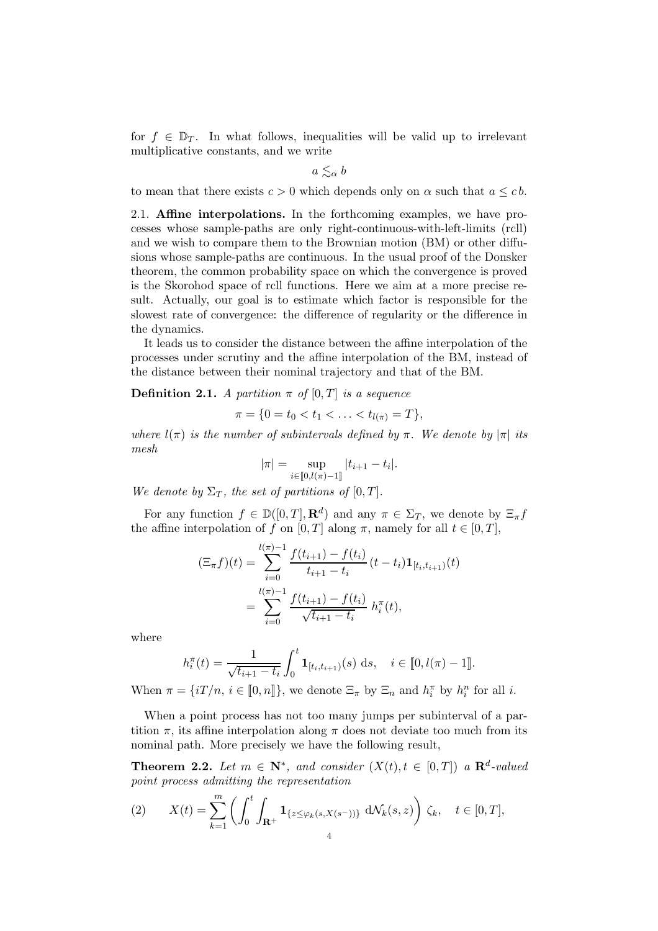for  $f \in \mathbb{D}_T$ . In what follows, inequalities will be valid up to irrelevant multiplicative constants, and we write

$$
a \lesssim_{\alpha} b
$$

to mean that there exists  $c > 0$  which depends only on  $\alpha$  such that  $a \leq c b$ .

2.1. Affine interpolations. In the forthcoming examples, we have processes whose sample-paths are only right-continuous-with-left-limits (rcll) and we wish to compare them to the Brownian motion (BM) or other diffusions whose sample-paths are continuous. In the usual proof of the Donsker theorem, the common probability space on which the convergence is proved is the Skorohod space of rcll functions. Here we aim at a more precise result. Actually, our goal is to estimate which factor is responsible for the slowest rate of convergence: the difference of regularity or the difference in the dynamics.

It leads us to consider the distance between the affine interpolation of the processes under scrutiny and the affine interpolation of the BM, instead of the distance between their nominal trajectory and that of the BM.

**Definition 2.1.** A partition  $\pi$  of  $[0, T]$  is a sequence

$$
\pi = \{0 = t_0 < t_1 < \ldots < t_{l(\pi)} = T\},
$$

where  $l(\pi)$  is the number of subintervals defined by  $\pi$ . We denote by  $|\pi|$  its  $_{mesh}$ 

$$
|\pi| = \sup_{i \in [0, l(\pi) - 1]} |t_{i+1} - t_i|.
$$

We denote by  $\Sigma_T$ , the set of partitions of [0, T].

For any function  $f \in \mathbb{D}([0,T], \mathbf{R}^d)$  and any  $\pi \in \Sigma_T$ , we denote by  $\Xi_{\pi} f$ the affine interpolation of f on [0, T] along  $\pi$ , namely for all  $t \in [0, T]$ ,

$$
(\Xi_{\pi}f)(t) = \sum_{i=0}^{l(\pi)-1} \frac{f(t_{i+1}) - f(t_i)}{t_{i+1} - t_i} (t - t_i) \mathbf{1}_{[t_i, t_{i+1})}(t)
$$
  
= 
$$
\sum_{i=0}^{l(\pi)-1} \frac{f(t_{i+1}) - f(t_i)}{\sqrt{t_{i+1} - t_i}} h_i^{\pi}(t),
$$

where

$$
h_i^{\pi}(t) = \frac{1}{\sqrt{t_{i+1} - t_i}} \int_0^t \mathbf{1}_{[t_i, t_{i+1})}(s) \, ds, \quad i \in [0, l(\pi) - 1].
$$

When  $\pi = \{iT/n, i \in [0, n]\},$  we denote  $\Xi_{\pi}$  by  $\Xi_n$  and  $h_i^{\pi}$  by  $h_i^{n}$  for all *i*.

When a point process has not too many jumps per subinterval of a partition  $\pi$ , its affine interpolation along  $\pi$  does not deviate too much from its nominal path. More precisely we have the following result,

**Theorem 2.2.** Let  $m \in \mathbb{N}^*$ , and consider  $(X(t), t \in [0,T])$  a  $\mathbb{R}^d$ -valued point process admitting the representation

(2) 
$$
X(t) = \sum_{k=1}^{m} \left( \int_{0}^{t} \int_{\mathbf{R}^{+}} \mathbf{1}_{\{z \leq \varphi_{k}(s,X(s^{-}))\}} d\mathcal{N}_{k}(s,z) \right) \zeta_{k}, \quad t \in [0,T],
$$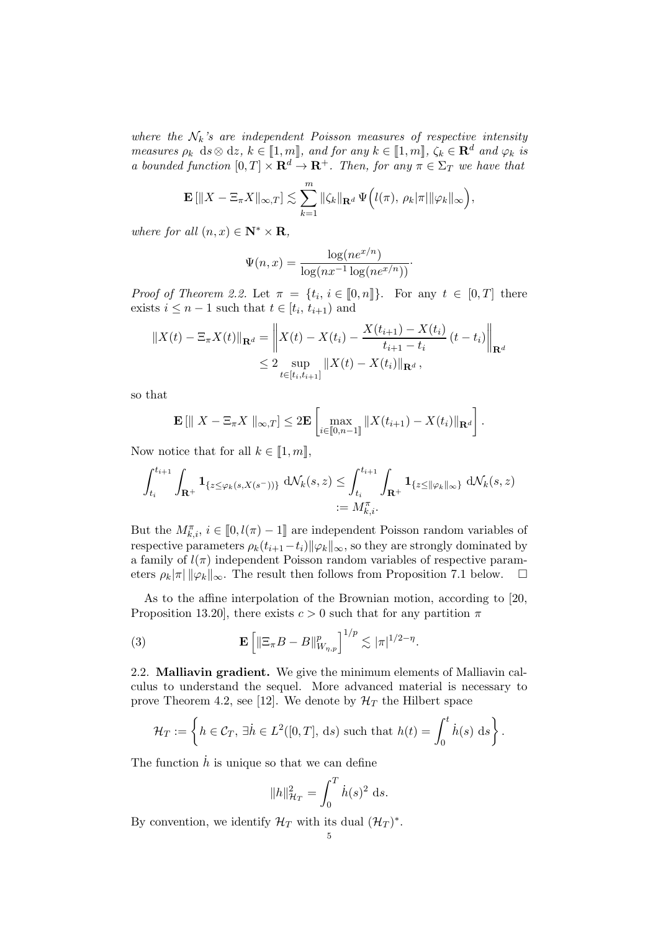where the  $\mathcal{N}_k$ 's are independent Poisson measures of respective intensity measures  $\rho_k$  ds⊗ dz,  $k \in [\![1,m]\!]$ , and for any  $k \in [\![1,m]\!]$ ,  $\zeta_k \in \mathbb{R}^d$  and  $\varphi_k$  is a bounded function  $[0, T] \times \mathbf{R}^d \to \mathbf{R}^+$ . Then, for any  $\pi \in \Sigma_T$  we have that

$$
\mathbf{E} \left[ \|X - \Xi_{\pi} X\|_{\infty,T} \right] \lesssim \sum_{k=1}^m \|\zeta_k\|_{\mathbf{R}^d} \Psi \left( l(\pi), \, \rho_k |\pi| \|\varphi_k\|_{\infty} \right),
$$

where for all  $(n, x) \in \mathbb{N}^* \times \mathbb{R}$ ,

$$
\Psi(n,x) = \frac{\log(ne^{x/n})}{\log(nx^{-1}\log(ne^{x/n}))}.
$$

*Proof of Theorem 2.2.* Let  $\pi = \{t_i, i \in [0, n]\}.$  For any  $t \in [0, T]$  there exists  $i \leq n-1$  such that  $t \in [t_i, t_{i+1})$  and

$$
||X(t) - \Xi_{\pi} X(t)||_{\mathbf{R}^d} = \left\| X(t) - X(t_i) - \frac{X(t_{i+1}) - X(t_i)}{t_{i+1} - t_i} (t - t_i) \right\|_{\mathbf{R}^d}
$$
  
\n
$$
\leq 2 \sup_{t \in [t_i, t_{i+1}]} ||X(t) - X(t_i)||_{\mathbf{R}^d},
$$

so that

$$
\mathbf{E} [\parallel X - \Xi_{\pi} X \parallel_{\infty,T}] \leq 2 \mathbf{E} \left[ \max_{i \in [\![ 0,n-1 ]\!] } \| X(t_{i+1}) - X(t_i) \|_{\mathbf{R}^d} \right].
$$

Now notice that for all  $k \in [1, m],$ 

$$
\int_{t_i}^{t_{i+1}} \int_{\mathbf{R}^+} \mathbf{1}_{\{z \le \varphi_k(s,X(s^-))\}} d\mathcal{N}_k(s,z) \le \int_{t_i}^{t_{i+1}} \int_{\mathbf{R}^+} \mathbf{1}_{\{z \le ||\varphi_k||_{\infty}\}} d\mathcal{N}_k(s,z) := M_{k,i}^{\pi}.
$$

But the  $M^{\pi}_{k,i}$ ,  $i \in [0, l(\pi) - 1]$  are independent Poisson random variables of respective parameters  $\rho_k(t_{i+1}-t_i)$   $\|\varphi_k\|_{\infty}$ , so they are strongly dominated by a family of  $l(\pi)$  independent Poisson random variables of respective parameters  $\rho_k|\pi| \|\varphi_k\|_{\infty}$ . The result then follows from Proposition 7.1 below.  $\square$ 

As to the affine interpolation of the Brownian motion, according to [20, Proposition 13.20], there exists  $c > 0$  such that for any partition  $\pi$ 

(3) 
$$
\mathbf{E}\left[\|\Xi_{\pi}B-B\|_{W_{\eta,p}}^p\right]^{1/p} \lesssim |\pi|^{1/2-\eta}.
$$

2.2. Malliavin gradient. We give the minimum elements of Malliavin calculus to understand the sequel. More advanced material is necessary to prove Theorem 4.2, see [12]. We denote by  $\mathcal{H}_T$  the Hilbert space

$$
\mathcal{H}_T := \left\{ h \in \mathcal{C}_T, \, \exists \dot{h} \in L^2([0,T], ds) \text{ such that } h(t) = \int_0^t \dot{h}(s) \, ds \right\}.
$$

The function  $\dot{h}$  is unique so that we can define

$$
||h||_{\mathcal{H}_T}^2 = \int_0^T \dot{h}(s)^2 \, \mathrm{d}s.
$$

By convention, we identify  $\mathcal{H}_T$  with its dual  $(\mathcal{H}_T)^*$ .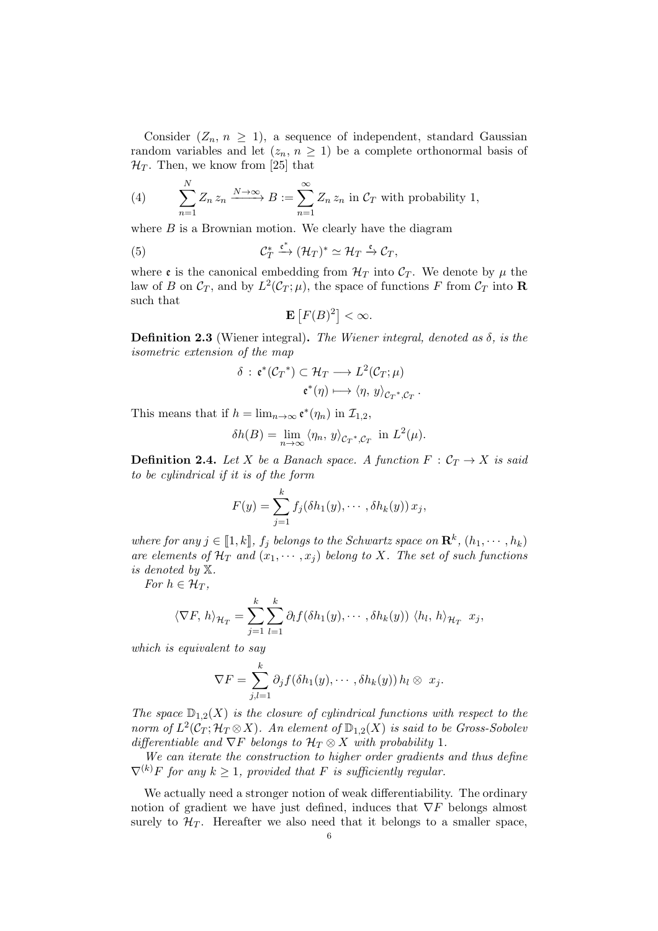Consider  $(Z_n, n \geq 1)$ , a sequence of independent, standard Gaussian random variables and let  $(z_n, n \geq 1)$  be a complete orthonormal basis of  $\mathcal{H}_T$ . Then, we know from [25] that

(4) 
$$
\sum_{n=1}^{N} Z_n z_n \xrightarrow{N \to \infty} B := \sum_{n=1}^{\infty} Z_n z_n \text{ in } C_T \text{ with probability 1,}
$$

where  $B$  is a Brownian motion. We clearly have the diagram

(5) 
$$
\mathcal{C}_T^* \xrightarrow{\mathfrak{e}^*} (\mathcal{H}_T)^* \simeq \mathcal{H}_T \xrightarrow{\mathfrak{e}} \mathcal{C}_T,
$$

where  $\mathfrak{e}$  is the canonical embedding from  $\mathcal{H}_T$  into  $\mathcal{C}_T$ . We denote by  $\mu$  the law of B on  $\mathcal{C}_T$ , and by  $L^2(\mathcal{C}_T;\mu)$ , the space of functions F from  $\mathcal{C}_T$  into **R** such that

$$
\mathbf{E}\left[F(B)^2\right]<\infty.
$$

**Definition 2.3** (Wiener integral). The Wiener integral, denoted as  $\delta$ , is the isometric extension of the map

$$
\delta : \mathfrak{e}^*(\mathcal{C}_T^*) \subset \mathcal{H}_T \longrightarrow L^2(\mathcal{C}_T; \mu)
$$

$$
\mathfrak{e}^*(\eta) \longmapsto \langle \eta, y \rangle_{\mathcal{C}_T^*, \mathcal{C}_T}.
$$

This means that if  $h = \lim_{n \to \infty} \mathfrak{e}^*(\eta_n)$  in  $\mathcal{I}_{1,2}$ ,

$$
\delta h(B) = \lim_{n \to \infty} \langle \eta_n, y \rangle_{C_T^*, C_T} \text{ in } L^2(\mu).
$$

**Definition 2.4.** Let X be a Banach space. A function  $F: \mathcal{C}_T \to X$  is said to be cylindrical if it is of the form

$$
F(y) = \sum_{j=1}^k f_j(\delta h_1(y), \cdots, \delta h_k(y)) x_j,
$$

where for any  $j \in [\![1, k]\!]$ ,  $f_j$  belongs to the Schwartz space on  $\mathbf{R}^k$ ,  $(h_1, \dots, h_k)$ are elements of  $\mathcal{H}_T$  and  $(x_1, \dots, x_i)$  belong to X. The set of such functions is denoted by X.

For  $h \in \mathcal{H}_T$ ,

$$
\langle \nabla F, h \rangle_{\mathcal{H}_T} = \sum_{j=1}^k \sum_{l=1}^k \partial_l f(\delta h_1(y), \cdots, \delta h_k(y)) \langle h_l, h \rangle_{\mathcal{H}_T} x_j,
$$

which is equivalent to say

$$
\nabla F = \sum_{j,l=1}^k \partial_j f(\delta h_1(y), \cdots, \delta h_k(y)) h_l \otimes x_j.
$$

The space  $\mathbb{D}_{1,2}(X)$  is the closure of cylindrical functions with respect to the norm of  $L^2(\mathcal{C}_T; \mathcal{H}_T \otimes X)$ . An element of  $\mathbb{D}_{1,2}(X)$  is said to be Gross-Sobolev differentiable and  $\nabla F$  belongs to  $\mathcal{H}_T \otimes X$  with probability 1.

We can iterate the construction to higher order gradients and thus define  $\nabla^{(k)}F$  for any  $k \geq 1$ , provided that F is sufficiently regular.

We actually need a stronger notion of weak differentiability. The ordinary notion of gradient we have just defined, induces that  $\nabla F$  belongs almost surely to  $\mathcal{H}_T$ . Hereafter we also need that it belongs to a smaller space,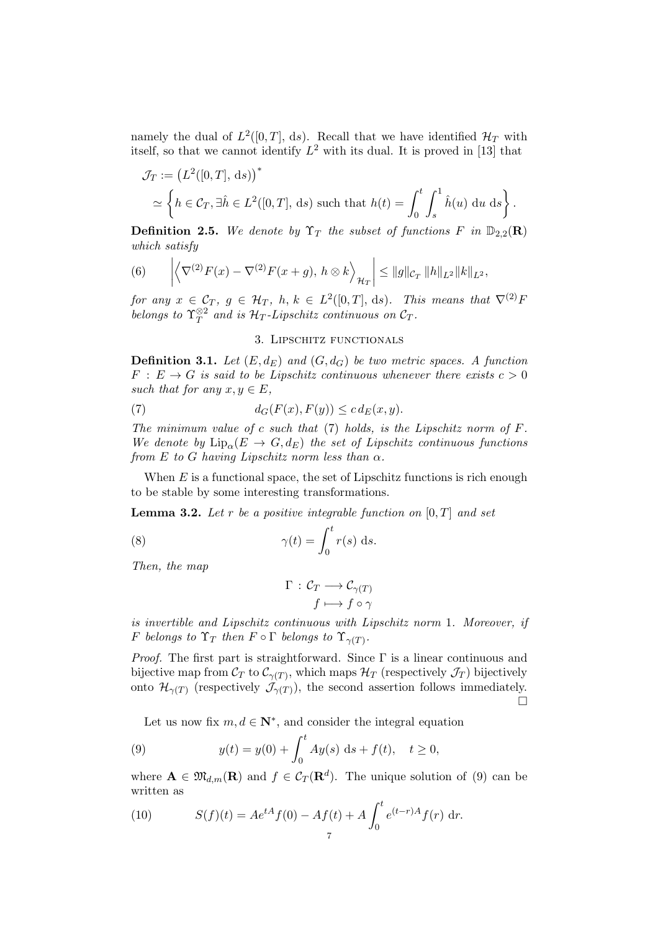namely the dual of  $L^2([0,T], ds)$ . Recall that we have identified  $\mathcal{H}_T$  with itself, so that we cannot identify  $L^2$  with its dual. It is proved in [13] that

$$
\mathcal{J}_T := (L^2([0,T], ds))^*
$$
  
\n
$$
\simeq \left\{ h \in \mathcal{C}_T, \exists \hat{h} \in L^2([0,T], ds) \text{ such that } h(t) = \int_0^t \int_s^1 \hat{h}(u) \, du \, ds \right\}.
$$

**Definition 2.5.** We denote by  $\Upsilon_T$  the subset of functions F in  $\mathbb{D}_{2,2}(\mathbf{R})$ which satisfy

(6) 
$$
\left| \left\langle \nabla^{(2)} F(x) - \nabla^{(2)} F(x+g), h \otimes k \right\rangle_{\mathcal{H}_T} \right| \le ||g||_{\mathcal{C}_T} ||h||_{L^2} ||k||_{L^2},
$$

for any  $x \in \mathcal{C}_T$ ,  $g \in \mathcal{H}_T$ ,  $h, k \in L^2([0,T], ds)$ . This means that  $\nabla^{(2)}F$ belongs to  $\Upsilon_T^{\otimes 2}$  $T^{\otimes 2}$  and is  $\mathcal{H}_T$ -Lipschitz continuous on  $\mathcal{C}_T$ .

#### 3. Lipschitz functionals

**Definition 3.1.** Let  $(E, d_E)$  and  $(G, d_G)$  be two metric spaces. A function  $F : E \to G$  is said to be Lipschitz continuous whenever there exists  $c > 0$ such that for any  $x, y \in E$ ,

(7) 
$$
d_G(F(x), F(y)) \leq c d_E(x, y).
$$

The minimum value of c such that  $(7)$  holds, is the Lipschitz norm of F. We denote by  $\text{Lip}_{\alpha}(E \to G, d_E)$  the set of Lipschitz continuous functions from E to G having Lipschitz norm less than  $\alpha$ .

When  $E$  is a functional space, the set of Lipschitz functions is rich enough to be stable by some interesting transformations.

**Lemma 3.2.** Let r be a positive integrable function on  $[0, T]$  and set

(8) 
$$
\gamma(t) = \int_0^t r(s) \, \mathrm{d}s.
$$

Then, the map

$$
\Gamma : C_T \longrightarrow C_{\gamma(T)}
$$

$$
f \longmapsto f \circ \gamma
$$

is invertible and Lipschitz continuous with Lipschitz norm 1. Moreover, if F belongs to  $\Upsilon_T$  then  $F \circ \Gamma$  belongs to  $\Upsilon_{\gamma(T)}$ .

*Proof.* The first part is straightforward. Since  $\Gamma$  is a linear continuous and bijective map from  $\mathcal{C}_T$  to  $\mathcal{C}_{\gamma(T)}$ , which maps  $\mathcal{H}_T$  (respectively  $\mathcal{J}_T$ ) bijectively onto  $\mathcal{H}_{\gamma(T)}$  (respectively  $\mathcal{J}_{\gamma(T)}$ ), the second assertion follows immediately.  $\Box$ 

Let us now fix  $m, d \in \mathbb{N}^*$ , and consider the integral equation

(9) 
$$
y(t) = y(0) + \int_0^t A y(s) \, ds + f(t), \quad t \ge 0,
$$

where  $\mathbf{A} \in \mathfrak{M}_{d,m}(\mathbf{R})$  and  $f \in \mathcal{C}_T(\mathbf{R}^d)$ . The unique solution of (9) can be written as

(10) 
$$
S(f)(t) = Ae^{tA} f(0) - Af(t) + A \int_0^t e^{(t-r)A} f(r) dr.
$$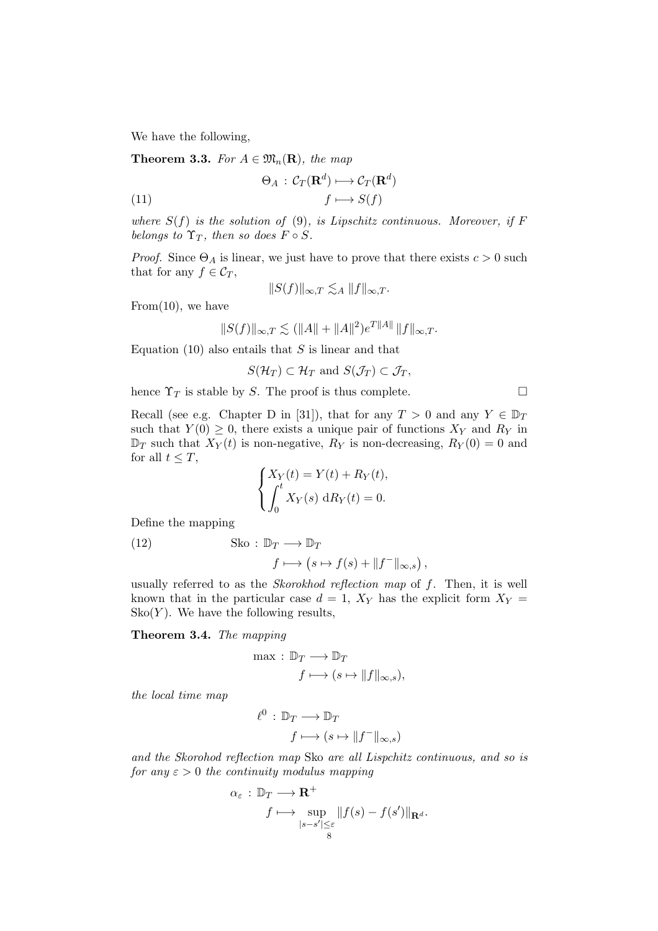We have the following,

**Theorem 3.3.** For  $A \in \mathfrak{M}_n(\mathbf{R})$ , the map

(11) 
$$
\Theta_A : C_T(\mathbf{R}^d) \longmapsto C_T(\mathbf{R}^d)
$$

$$
f \longmapsto S(f)
$$

where  $S(f)$  is the solution of (9), is Lipschitz continuous. Moreover, if F belongs to  $\Upsilon_T$ , then so does  $F \circ S$ .

*Proof.* Since  $\Theta_A$  is linear, we just have to prove that there exists  $c > 0$  such that for any  $f \in C_T$ ,

$$
||S(f)||_{\infty,T} \lesssim_A ||f||_{\infty,T}.
$$

From $(10)$ , we have

$$
||S(f)||_{\infty,T} \lesssim (||A|| + ||A||^2)e^{T||A||} ||f||_{\infty,T}.
$$

Equation (10) also entails that  $S$  is linear and that

$$
S(\mathcal{H}_T) \subset \mathcal{H}_T \text{ and } S(\mathcal{J}_T) \subset \mathcal{J}_T,
$$

hence  $\Upsilon_T$  is stable by S. The proof is thus complete.

Recall (see e.g. Chapter D in [31]), that for any  $T > 0$  and any  $Y \in \mathbb{D}_T$ such that  $Y(0) \geq 0$ , there exists a unique pair of functions  $X_Y$  and  $R_Y$  in  $\mathbb{D}_T$  such that  $X_Y(t)$  is non-negative,  $R_Y$  is non-decreasing,  $R_Y(0) = 0$  and for all  $t < T$ ,

$$
\begin{cases} X_Y(t) = Y(t) + R_Y(t), \\ \int_0^t X_Y(s) \, dR_Y(t) = 0. \end{cases}
$$

Define the mapping

(12) Sko :  $\mathbb{D}_T \longrightarrow \mathbb{D}_T$  $f \longmapsto (s \mapsto f(s) + ||f^-||_{\infty,s}),$ 

usually referred to as the Skorokhod reflection map of f. Then, it is well known that in the particular case  $d = 1$ ,  $X_Y$  has the explicit form  $X_Y =$  $\operatorname{Sko}(Y)$ . We have the following results,

Theorem 3.4. The mapping

$$
\max: \mathbb{D}_T \longrightarrow \mathbb{D}_T
$$

$$
f \longmapsto (s \mapsto ||f||_{\infty, s}),
$$

the local time map

$$
\ell^0 : \mathbb{D}_T \longrightarrow \mathbb{D}_T
$$

$$
f \longmapsto (s \mapsto ||f^-||_{\infty, s})
$$

and the Skorohod reflection map Sko are all Lispchitz continuous, and so is for any  $\varepsilon > 0$  the continuity modulus mapping

$$
\alpha_{\varepsilon} : \mathbb{D}_T \longrightarrow \mathbf{R}^+ \\
 f \longmapsto \sup_{\substack{|s-s'| \leq \varepsilon \\ s}} \|f(s) - f(s')\|_{\mathbf{R}^d}.
$$

$$
\Box
$$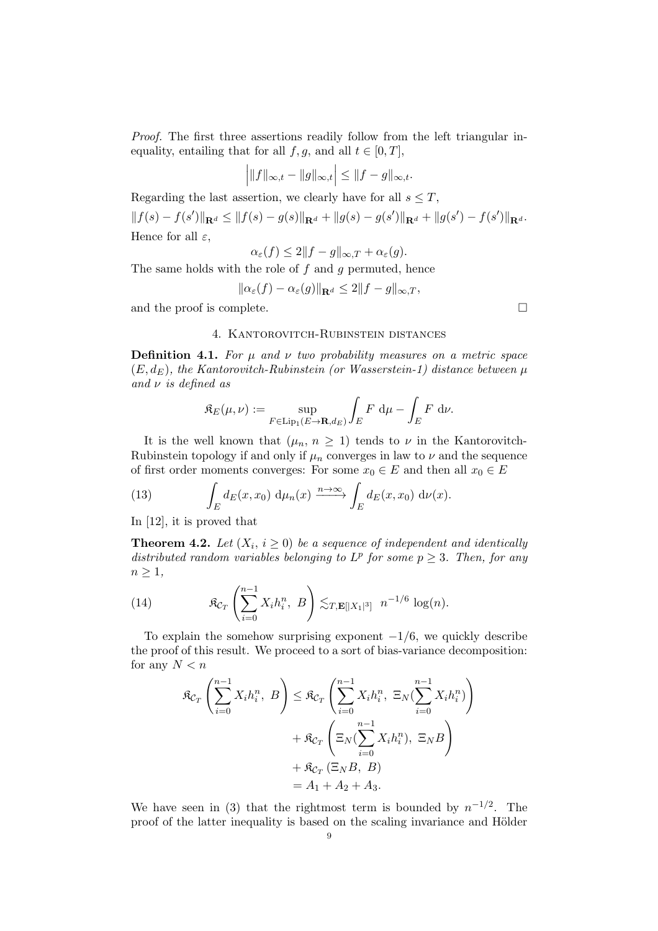Proof. The first three assertions readily follow from the left triangular inequality, entailing that for all  $f, g$ , and all  $t \in [0, T]$ ,

$$
\Big|\|f\|_{\infty,t}-\|g\|_{\infty,t}\Big|\leq\|f-g\|_{\infty,t}.
$$

Regarding the last assertion, we clearly have for all  $s \leq T$ ,

 $||f(s) - f(s')||_{\mathbf{R}^d} \le ||f(s) - g(s)||_{\mathbf{R}^d} + ||g(s) - g(s')||_{\mathbf{R}^d} + ||g(s') - f(s')||_{\mathbf{R}^d}.$ Hence for all  $\varepsilon$ ,

$$
\alpha_{\varepsilon}(f) \le 2\|f - g\|_{\infty, T} + \alpha_{\varepsilon}(g).
$$

The same holds with the role of  $f$  and  $g$  permuted, hence

$$
\|\alpha_{\varepsilon}(f)-\alpha_{\varepsilon}(g)\|_{\mathbf{R}^d}\leq 2\|f-g\|_{\infty,T},
$$

and the proof is complete.  $\Box$ 

#### 4. Kantorovitch-Rubinstein distances

**Definition 4.1.** For  $\mu$  and  $\nu$  two probability measures on a metric space  $(E, d_E)$ , the Kantorovitch-Rubinstein (or Wasserstein-1) distance between  $\mu$ and  $\nu$  is defined as

$$
\mathfrak{K}_E(\mu,\nu) := \sup_{F \in \text{Lip}_1(E \to \mathbf{R},d_E)} \int_E F \, \, \mathrm{d}\mu - \int_E F \, \, \mathrm{d}\nu.
$$

It is the well known that  $(\mu_n, n \geq 1)$  tends to  $\nu$  in the Kantorovitch-Rubinstein topology if and only if  $\mu_n$  converges in law to  $\nu$  and the sequence of first order moments converges: For some  $x_0 \in E$  and then all  $x_0 \in E$ 

(13) 
$$
\int_E d_E(x,x_0) d\mu_n(x) \xrightarrow{n \to \infty} \int_E d_E(x,x_0) d\nu(x).
$$

In [12], it is proved that

**Theorem 4.2.** Let  $(X_i, i \geq 0)$  be a sequence of independent and identically distributed random variables belonging to  $L^p$  for some  $p \geq 3$ . Then, for any  $n \geq 1$ ,

(14) 
$$
\mathfrak{K}_{C_T}\left(\sum_{i=0}^{n-1} X_i h_i^n, B\right) \lesssim_{T,\mathbf{E}[|X_1|^3]} n^{-1/6} \log(n).
$$

To explain the somehow surprising exponent  $-1/6$ , we quickly describe the proof of this result. We proceed to a sort of bias-variance decomposition: for any  $N < n$ 

$$
\mathfrak{K}_{\mathcal{C}_T} \left( \sum_{i=0}^{n-1} X_i h_i^n, B \right) \leq \mathfrak{K}_{\mathcal{C}_T} \left( \sum_{i=0}^{n-1} X_i h_i^n, \ \Xi_N \left( \sum_{i=0}^{n-1} X_i h_i^n \right) \right)
$$

$$
+ \mathfrak{K}_{\mathcal{C}_T} \left( \Xi_N \left( \sum_{i=0}^{n-1} X_i h_i^n \right), \ \Xi_N B \right)
$$

$$
+ \mathfrak{K}_{\mathcal{C}_T} \left( \Xi_N B, B \right)
$$

$$
= A_1 + A_2 + A_3.
$$

We have seen in (3) that the rightmost term is bounded by  $n^{-1/2}$ . The proof of the latter inequality is based on the scaling invariance and Hölder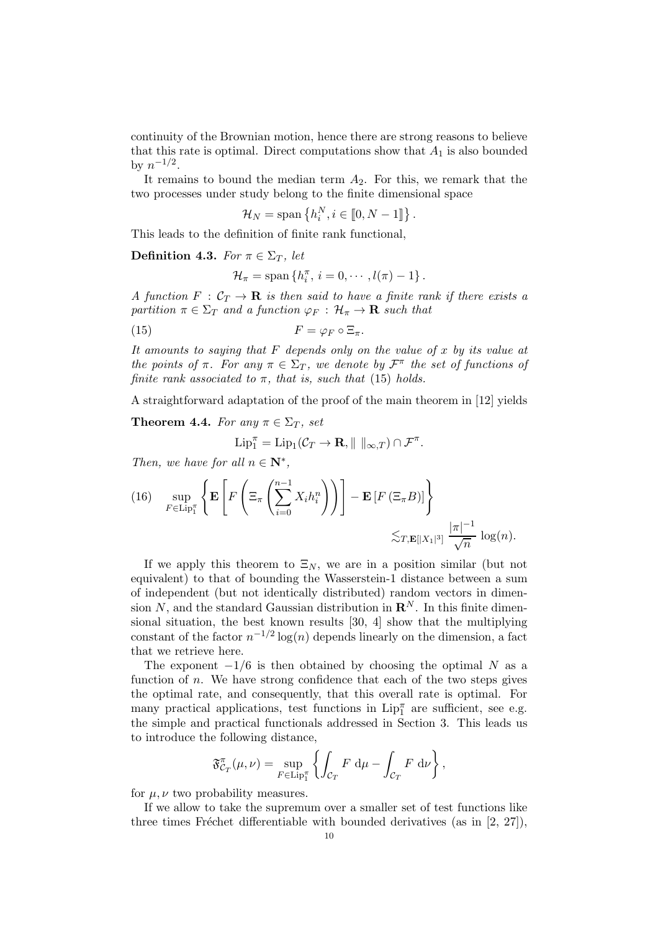continuity of the Brownian motion, hence there are strong reasons to believe that this rate is optimal. Direct computations show that  $A_1$  is also bounded by  $n^{-1/2}$ .

It remains to bound the median term  $A_2$ . For this, we remark that the two processes under study belong to the finite dimensional space

$$
\mathcal{H}_N = \text{span}\left\{h_i^N, i \in [0, N-1]\right\}.
$$

This leads to the definition of finite rank functional,

Definition 4.3. For  $\pi \in \Sigma_T$ , let

$$
\mathcal{H}_{\pi} = \text{span} \left\{ h_i^{\pi}, i = 0, \cdots, l(\pi) - 1 \right\}.
$$

A function  $F : C_T \to \mathbf{R}$  is then said to have a finite rank if there exists a partition  $\pi \in \Sigma_T$  and a function  $\varphi_F : \mathcal{H}_\pi \to \mathbf{R}$  such that

(15) 
$$
F = \varphi_F \circ \Xi_\pi.
$$

It amounts to saying that  $F$  depends only on the value of  $x$  by its value at the points of  $\pi$ . For any  $\pi \in \Sigma_T$ , we denote by  $\mathcal{F}^{\pi}$  the set of functions of finite rank associated to  $\pi$ , that is, such that (15) holds.

A straightforward adaptation of the proof of the main theorem in [12] yields

**Theorem 4.4.** For any  $\pi \in \Sigma_T$ , set

$$
\mathrm{Lip}_1^{\pi} = \mathrm{Lip}_1(\mathcal{C}_T \to \mathbf{R}, \|\ \|_{\infty,T}) \cap \mathcal{F}^{\pi}.
$$

Then, we have for all  $n \in \mathbb{N}^*$ ,

(16) 
$$
\sup_{F \in \text{Lip}_1^{\pi}} \left\{ \mathbf{E} \left[ F \left( \Xi_{\pi} \left( \sum_{i=0}^{n-1} X_i h_i^n \right) \right) \right] - \mathbf{E} \left[ F \left( \Xi_{\pi} B \right) \right] \right\} \lesssim_{T, \mathbf{E} [|X_1|^3]} \frac{|\pi|^{-1}}{\sqrt{n}} \log(n).
$$

If we apply this theorem to  $\Xi_N$ , we are in a position similar (but not equivalent) to that of bounding the Wasserstein-1 distance between a sum of independent (but not identically distributed) random vectors in dimension N, and the standard Gaussian distribution in  $\mathbb{R}^N$ . In this finite dimensional situation, the best known results [30, 4] show that the multiplying constant of the factor  $n^{-1/2} \log(n)$  depends linearly on the dimension, a fact that we retrieve here.

The exponent  $-1/6$  is then obtained by choosing the optimal N as a function of n. We have strong confidence that each of the two steps gives the optimal rate, and consequently, that this overall rate is optimal. For many practical applications, test functions in  $\text{Lip}_{1}^{\pi}$  are sufficient, see e.g. the simple and practical functionals addressed in Section 3. This leads us to introduce the following distance,

$$
\mathfrak{F}_{C_T}^{\pi}(\mu,\nu) = \sup_{F \in \text{Lip}_1^{\pi}} \left\{ \int_{C_T} F \, \mathrm{d}\mu - \int_{C_T} F \, \mathrm{d}\nu \right\},\,
$$

for  $\mu, \nu$  two probability measures.

If we allow to take the supremum over a smaller set of test functions like three times Fréchet differentiable with bounded derivatives (as in  $[2, 27]$ ),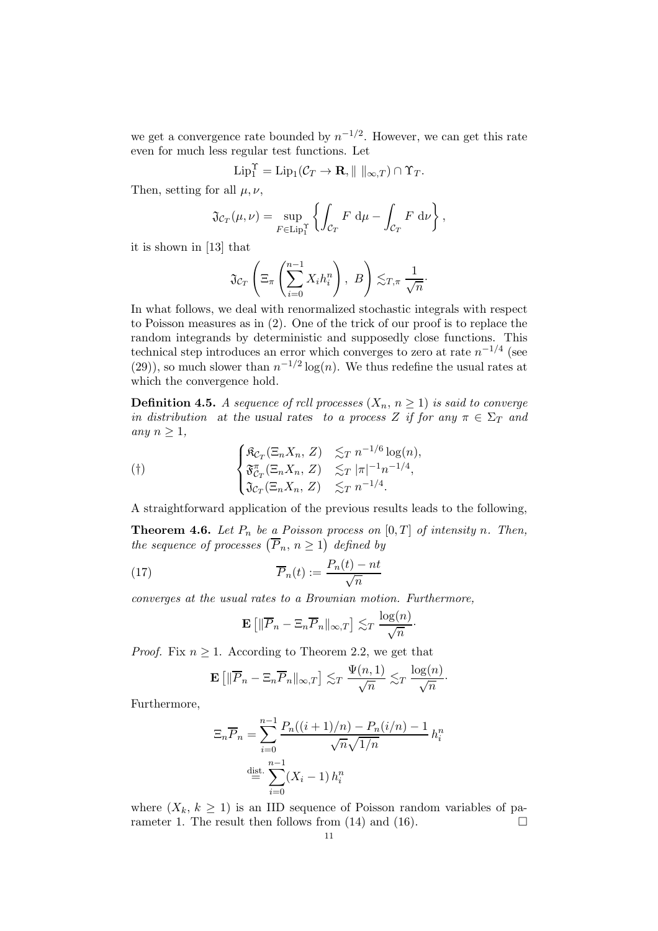we get a convergence rate bounded by  $n^{-1/2}$ . However, we can get this rate even for much less regular test functions. Let

$$
\operatorname{Lip}_1^{\Upsilon} = \operatorname{Lip}_1(\mathcal{C}_T \to \mathbf{R}, \| \|_{\infty,T}) \cap \Upsilon_T.
$$

Then, setting for all  $\mu, \nu$ ,

$$
\mathfrak{J}_{\mathcal{C}_T}(\mu,\nu) = \sup_{F \in \text{Lip}_1^{\Upsilon}} \left\{ \int_{\mathcal{C}_T} F \, \mathrm{d}\mu - \int_{\mathcal{C}_T} F \, \mathrm{d}\nu \right\},\,
$$

it is shown in [13] that

$$
\mathfrak{J}_{\mathcal{C}_T}\left(\Xi_{\pi}\left(\sum_{i=0}^{n-1}X_ih_i^n\right),\ B\right)\lesssim_{T,\pi}\frac{1}{\sqrt{n}}.
$$

In what follows, we deal with renormalized stochastic integrals with respect to Poisson measures as in (2). One of the trick of our proof is to replace the random integrands by deterministic and supposedly close functions. This technical step introduces an error which converges to zero at rate  $n^{-1/4}$  (see  $(29)$ , so much slower than  $n^{-1/2} \log(n)$ . We thus redefine the usual rates at which the convergence hold.

**Definition 4.5.** A sequence of rcll processes  $(X_n, n \ge 1)$  is said to converge in distribution at the usual rates to a process Z if for any  $\pi \in \Sigma_T$  and any  $n \geq 1$ ,

$$
\begin{cases}\n\mathfrak{K}_{\mathcal{C}_T}(\Xi_n X_n, Z) & \lesssim_T n^{-1/6} \log(n), \\
\mathfrak{F}_{\mathcal{C}_T}^{\pi}(\Xi_n X_n, Z) & \lesssim_T |\pi|^{-1} n^{-1/4}, \\
\mathfrak{J}_{\mathcal{C}_T}(\Xi_n X_n, Z) & \lesssim_T n^{-1/4}.\n\end{cases}
$$

A straightforward application of the previous results leads to the following,

**Theorem 4.6.** Let  $P_n$  be a Poisson process on  $[0, T]$  of intensity n. Then, the sequence of processes  $(\overline{P}_n, n \ge 1)$  defined by

(17) 
$$
\overline{P}_n(t) := \frac{P_n(t) - nt}{\sqrt{n}}
$$

converges at the usual rates to a Brownian motion. Furthermore,

$$
\mathbf{E}\left[\|\overline{P}_n - \Xi_n \overline{P}_n\|_{\infty,T}\right] \lesssim_T \frac{\log(n)}{\sqrt{n}}.
$$

*Proof.* Fix  $n \geq 1$ . According to Theorem 2.2, we get that

$$
\mathbf{E}\left[\|\overline{P}_n - \Xi_n \overline{P}_n\|_{\infty,T}\right] \lesssim_T \frac{\Psi(n,1)}{\sqrt{n}} \lesssim_T \frac{\log(n)}{\sqrt{n}}.
$$

Furthermore,

$$
\Xi_n \overline{P}_n = \sum_{i=0}^{n-1} \frac{P_n((i+1)/n) - P_n(i/n) - 1}{\sqrt{n}\sqrt{1/n}} h_i^n
$$
  

$$
\stackrel{\text{dist.}}{=} \sum_{i=0}^{n-1} (X_i - 1) h_i^n
$$

where  $(X_k, k \ge 1)$  is an IID sequence of Poisson random variables of parameter 1. The result then follows from (14) and (16). rameter 1. The result then follows from (14) and (16).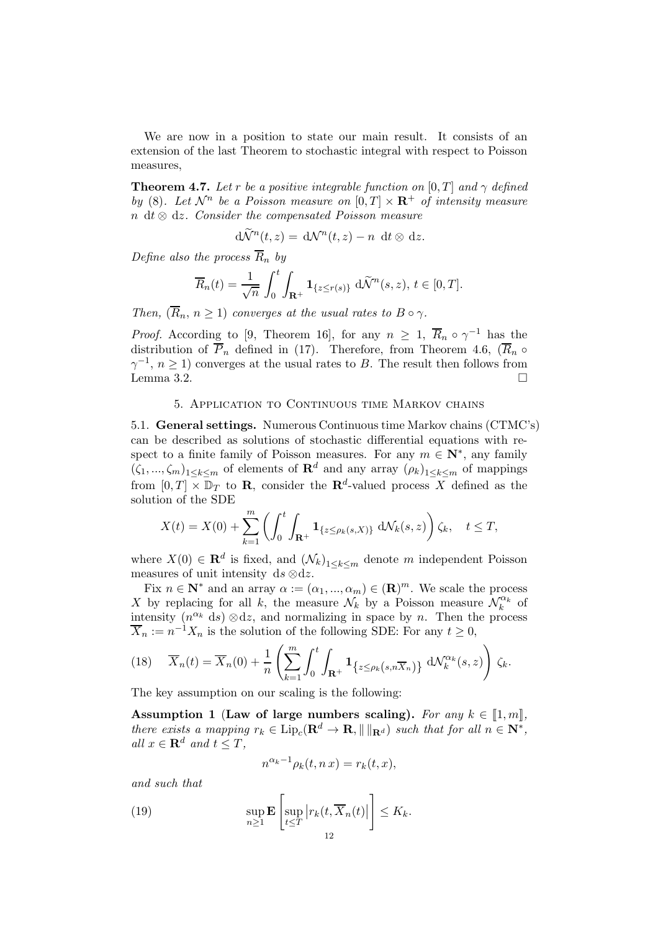We are now in a position to state our main result. It consists of an extension of the last Theorem to stochastic integral with respect to Poisson measures,

**Theorem 4.7.** Let r be a positive integrable function on  $[0, T]$  and  $\gamma$  defined by (8). Let  $\mathcal{N}^n$  be a Poisson measure on  $[0, T] \times \mathbf{R}^+$  of intensity measure n dt  $\otimes$  dz. Consider the compensated Poisson measure

$$
d\widetilde{\mathcal{N}}^n(t,z) = d\mathcal{N}^n(t,z) - n \, dt \otimes dz.
$$

Define also the process  $\overline{R}_n$  by

$$
\overline{R}_n(t) = \frac{1}{\sqrt{n}} \int_0^t \int_{\mathbf{R}^+} \mathbf{1}_{\{z \le r(s)\}} \, d\widetilde{\mathcal{N}}^n(s, z), \, t \in [0, T].
$$

Then,  $(\overline{R}_n, n \geq 1)$  converges at the usual rates to  $B \circ \gamma$ .

*Proof.* According to [9, Theorem 16], for any  $n \geq 1$ ,  $\overline{R}_n \circ \gamma^{-1}$  has the distribution of  $\overline{P}_n$  defined in (17). Therefore, from Theorem 4.6,  $(\overline{R}_n \circ$  $\gamma^{-1}, n \ge 1$ ) converges at the usual rates to B. The result then follows from Lemma 3.2.

#### 5. Application to Continuous time Markov chains

5.1. General settings. Numerous Continuous time Markov chains (CTMC's) can be described as solutions of stochastic differential equations with respect to a finite family of Poisson measures. For any  $m \in \mathbb{N}^*$ , any family  $(\zeta_1, ..., \zeta_m)_{1 \leq k \leq m}$  of elements of  $\mathbf{R}^d$  and any array  $(\rho_k)_{1 \leq k \leq m}$  of mappings from  $[0, T] \times \mathbb{D}_T$  to **R**, consider the **R**<sup>d</sup>-valued process X defined as the solution of the SDE

$$
X(t) = X(0) + \sum_{k=1}^{m} \left( \int_0^t \int_{\mathbf{R}^+} \mathbf{1}_{\{z \le \rho_k(s,X)\}} dN_k(s,z) \right) \zeta_k, \quad t \le T,
$$

where  $X(0) \in \mathbf{R}^d$  is fixed, and  $(\mathcal{N}_k)_{1 \leq k \leq m}$  denote m independent Poisson measures of unit intensity ds  $\otimes$ dz.

Fix  $n \in \mathbb{N}^*$  and an array  $\alpha := (\alpha_1, ..., \alpha_m) \in (\mathbb{R})^m$ . We scale the process X by replacing for all k, the measure  $\mathcal{N}_k$  by a Poisson measure  $\mathcal{N}_k^{\alpha_k}$  of intensity  $(n^{\alpha_k} ds) \otimes dz$ , and normalizing in space by n. Then the process  $\overline{X}_n := n^{-1}X_n$  is the solution of the following SDE: For any  $t \geq 0$ ,

(18) 
$$
\overline{X}_n(t) = \overline{X}_n(0) + \frac{1}{n} \left( \sum_{k=1}^m \int_0^t \int_{\mathbf{R}^+} \mathbf{1}_{\{z \le \rho_k(s, n\overline{X}_n)\}} d\mathcal{N}_k^{\alpha_k}(s, z) \right) \zeta_k.
$$

The key assumption on our scaling is the following:

Assumption 1 (Law of large numbers scaling). For any  $k \in [1, m],$ there exists a mapping  $r_k \in \text{Lip}_c(\mathbf{R}^d \to \mathbf{R}, || ||_{\mathbf{R}^d})$  such that for all  $n \in \mathbf{N}^*$ , all  $x \in \mathbf{R}^d$  and  $t \leq T$ ,

$$
n^{\alpha_k - 1} \rho_k(t, n x) = r_k(t, x),
$$

and such that

(19) 
$$
\sup_{n\geq 1} \mathbf{E} \left[ \sup_{t\leq T} |r_k(t, \overline{X}_n(t)| \right] \leq K_k.
$$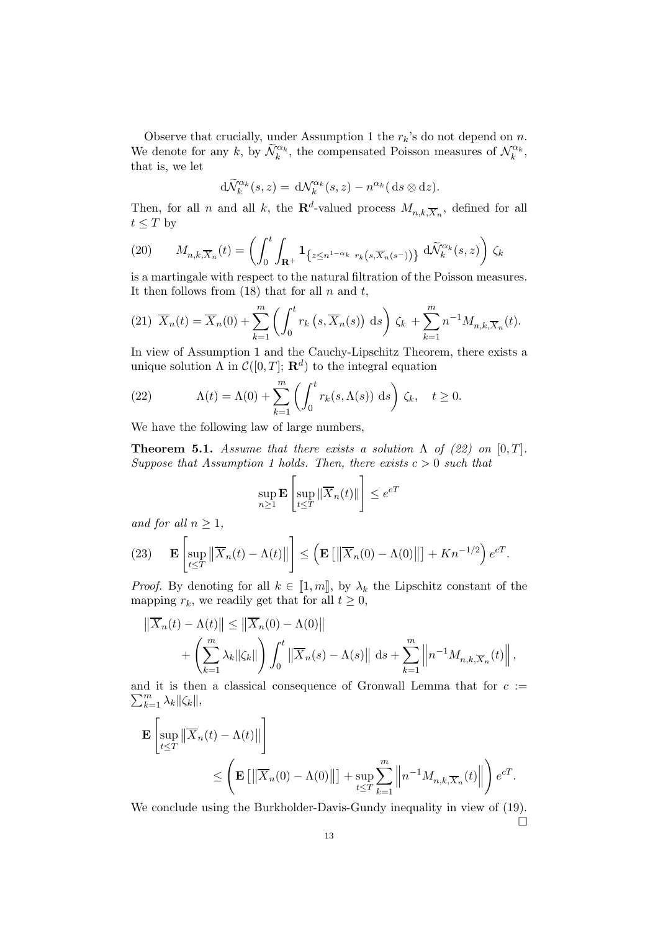Observe that crucially, under Assumption 1 the  $r_k$ 's do not depend on n. We denote for any k, by  $\widetilde{\mathcal{N}}_k^{\alpha_k}$ , the compensated Poisson measures of  $\mathcal{N}_k^{\alpha_k}$ , that is, we let

$$
\mathrm{d}\widetilde{\mathcal{N}}_k^{\alpha_k}(s,z)=\,\mathrm{d}\mathcal{N}_k^{\alpha_k}(s,z)-n^{\alpha_k}(\,\mathrm{d} s\otimes\mathrm{d} z).
$$

Then, for all n and all k, the  $\mathbf{R}^d$ -valued process  $M_{n,k,\overline{X}_n}$ , defined for all  $t \leq T$  by

(20) 
$$
M_{n,k,\overline{X}_n}(t) = \left(\int_0^t \int_{\mathbf{R}^+} \mathbf{1}_{\{z \leq n^{1-\alpha_k} r_k(s,\overline{X}_n(s^-))\}} d\widetilde{\mathcal{N}}_k^{\alpha_k}(s,z)\right) \zeta_k
$$

is a martingale with respect to the natural filtration of the Poisson measures. It then follows from  $(18)$  that for all n and t,

$$
(21) \ \overline{X}_n(t) = \overline{X}_n(0) + \sum_{k=1}^m \left( \int_0^t r_k\left(s, \overline{X}_n(s)\right) \, \mathrm{d}s \right) \zeta_k + \sum_{k=1}^m n^{-1} M_{n,k, \overline{X}_n}(t).
$$

In view of Assumption 1 and the Cauchy-Lipschitz Theorem, there exists a unique solution  $\Lambda$  in  $\mathcal{C}([0,T]; \mathbf{R}^d)$  to the integral equation

(22) 
$$
\Lambda(t) = \Lambda(0) + \sum_{k=1}^{m} \left( \int_0^t r_k(s, \Lambda(s)) \, ds \right) \zeta_k, \quad t \ge 0.
$$

We have the following law of large numbers,

**Theorem 5.1.** Assume that there exists a solution  $\Lambda$  of (22) on [0, T]. Suppose that Assumption 1 holds. Then, there exists  $c > 0$  such that

$$
\sup_{n\geq 1} \mathbf{E} \left[ \sup_{t\leq T} \|\overline{X}_n(t)\| \right] \leq e^{cT}
$$

and for all  $n \geq 1$ ,

(23) 
$$
\mathbf{E}\left[\sup_{t\leq T} \left\|\overline{X}_n(t) - \Lambda(t)\right\|\right] \leq \left(\mathbf{E}\left[\left\|\overline{X}_n(0) - \Lambda(0)\right\|\right] + Kn^{-1/2}\right)e^{cT}.
$$

*Proof.* By denoting for all  $k \in [1, m]$ , by  $\lambda_k$  the Lipschitz constant of the mapping  $r_k$ , we readily get that for all  $t \geq 0$ ,

$$
\left\| \overline{X}_n(t) - \Lambda(t) \right\| \le \left\| \overline{X}_n(0) - \Lambda(0) \right\|
$$
  
+ 
$$
\left( \sum_{k=1}^m \lambda_k \|\zeta_k\| \right) \int_0^t \left\| \overline{X}_n(s) - \Lambda(s) \right\| \, \mathrm{d}s + \sum_{k=1}^m \left\| n^{-1} M_{n,k,\overline{X}_n}(t) \right\|,
$$

 $\sum_{k=1}^m \lambda_k ||\zeta_k||,$ and it is then a classical consequence of Gronwall Lemma that for  $c :=$ 

$$
\mathbf{E}\left[\sup_{t\leq T} \left\|\overline{X}_n(t) - \Lambda(t)\right\|\right] \leq \left(\mathbf{E}\left[\left\|\overline{X}_n(0) - \Lambda(0)\right\|\right] + \sup_{t\leq T} \sum_{k=1}^m \left\|n^{-1} M_{n,k,\overline{X}_n}(t)\right\|\right) e^{cT}.
$$

We conclude using the Burkholder-Davis-Gundy inequality in view of (19).  $\Box$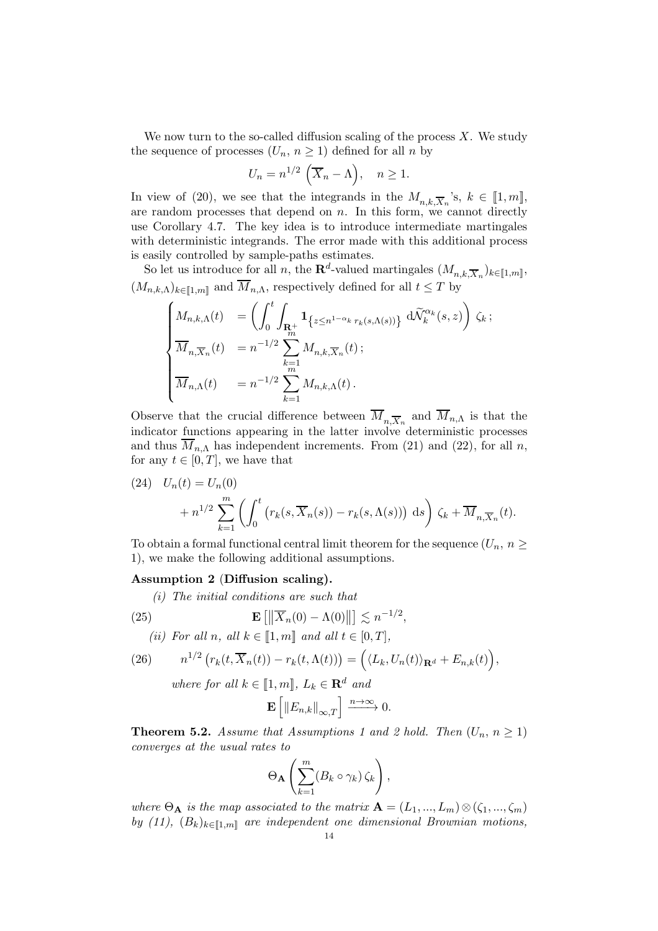We now turn to the so-called diffusion scaling of the process  $X$ . We study the sequence of processes  $(U_n, n \geq 1)$  defined for all n by

$$
U_n = n^{1/2} \left( \overline{X}_n - \Lambda \right), \quad n \ge 1.
$$

In view of (20), we see that the integrands in the  $M_{n,k,\overline{X}_n}$ 's,  $k \in [1,m]$ , are random processes that depend on  $n$ . In this form, we cannot directly use Corollary 4.7. The key idea is to introduce intermediate martingales with deterministic integrands. The error made with this additional process is easily controlled by sample-paths estimates.

So let us introduce for all n, the  $\mathbf{R}^d$ -valued martingales  $(M_{n,k,\overline{X}_n})_{k\in[\![1,m]\!]}$ ,  $(M_{n,k,\Lambda})_{k\in\llbracket 1,m\rrbracket}$  and  $\overline{M}_{n,\Lambda}$ , respectively defined for all  $t\leq T$  by

$$
\begin{cases} M_{n,k,\Lambda}(t) &= \left(\int_0^t \int_{\mathbf{R}_+^+} \mathbf{1}_{\left\{z \leq n^{1-\alpha_k} r_k(s,\Lambda(s))\right\}} \, \mathrm{d}\widetilde{\mathcal{N}}_k^{\alpha_k}(s,z)\right) \, \zeta_k \, ; \\ \overline{M}_{n,\overline{X}_n}(t) &= n^{-1/2} \sum_{\substack{k=1 \ m}}^{m} M_{n,k,\overline{X}_n}(t) \, ; \\ \overline{M}_{n,\Lambda}(t) &= n^{-1/2} \sum_{k=1}^{m} M_{n,k,\Lambda}(t) \, . \end{cases}
$$

Observe that the crucial difference between  $M_{n,\overline{X}_n}$  and  $M_{n,\Lambda}$  is that the indicator functions appearing in the latter involve deterministic processes and thus  $\overline{M}_{n,\Lambda}$  has independent increments. From (21) and (22), for all n, for any  $t \in [0, T]$ , we have that

(24) 
$$
U_n(t) = U_n(0)
$$

$$
+ n^{1/2} \sum_{k=1}^m \left( \int_0^t \left( r_k(s, \overline{X}_n(s)) - r_k(s, \Lambda(s)) \right) ds \right) \zeta_k + \overline{M}_{n, \overline{X}_n}(t).
$$

To obtain a formal functional central limit theorem for the sequence  $(U_n, n \geq$ 1), we make the following additional assumptions.

#### Assumption 2 (Diffusion scaling).

(i) The initial conditions are such that

(25) 
$$
\mathbf{E}\left[\left\|\overline{X}_n(0) - \Lambda(0)\right\|\right] \lesssim n^{-1/2},
$$
  
(ii) For all n, all  $k \in [\![1,m]\!]$  and all  $t \in [0,T]$ ,

(26) 
$$
n^{1/2} \left( r_k(t, \overline{X}_n(t)) - r_k(t, \Lambda(t)) \right) = \left( \langle L_k, U_n(t) \rangle_{\mathbf{R}^d} + E_{n,k}(t) \right),
$$
  
where for all  $k \in [1, m]$ ,  $L_k \in \mathbf{R}^d$  and

$$
\mathbf{E}\left[\left\|E_{n,k}\right\|_{\infty,T}\right] \xrightarrow{n\to\infty} 0.
$$

**Theorem 5.2.** Assume that Assumptions 1 and 2 hold. Then  $(U_n, n \ge 1)$ converges at the usual rates to

$$
\Theta_{\mathbf{A}}\left(\sum_{k=1}^m (B_k\circ\gamma_k)\,\zeta_k\right),\,
$$

where  $\Theta_{\bf A}$  is the map associated to the matrix  ${\bf A} = (L_1, ..., L_m) \otimes (\zeta_1, ..., \zeta_m)$ by (11),  $(B_k)_{k\in\llbracket 1,m\rrbracket}$  are independent one dimensional Brownian motions,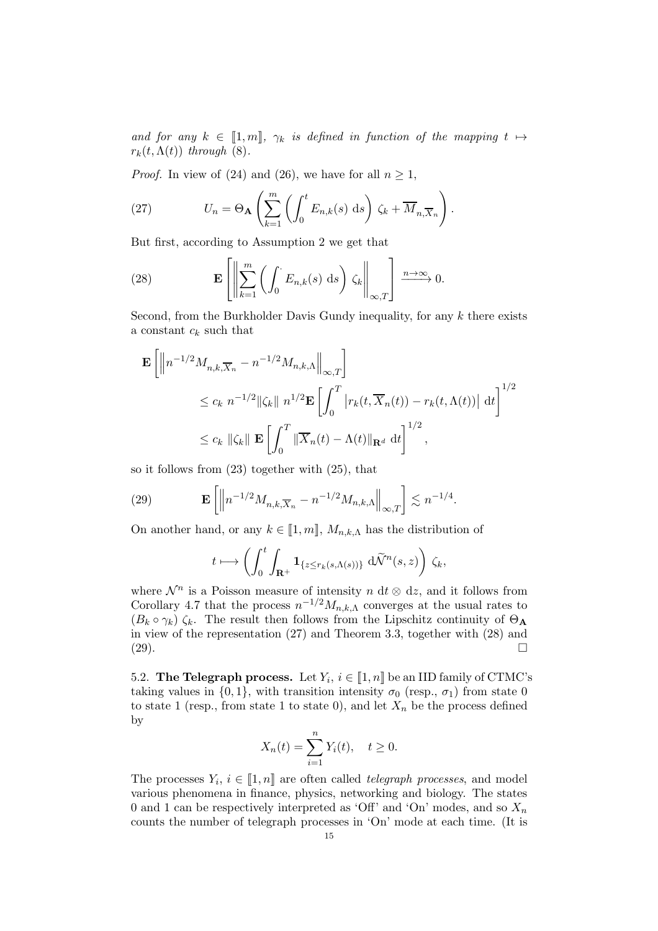and for any  $k \in [1, m], \gamma_k$  is defined in function of the mapping  $t \mapsto$  $r_k(t,\Lambda(t))$  through (8).

*Proof.* In view of (24) and (26), we have for all  $n \geq 1$ ,

(27) 
$$
U_n = \Theta_{\mathbf{A}} \left( \sum_{k=1}^m \left( \int_0^t E_{n,k}(s) \, ds \right) \zeta_k + \overline{M}_{n,\overline{X}_n} \right).
$$

But first, according to Assumption 2 we get that

(28) 
$$
\mathbf{E}\left[\left\|\sum_{k=1}^m \left(\int_0^{\cdot} E_{n,k}(s) \, \mathrm{d} s\right) \zeta_k\right\|_{\infty,T}\right] \xrightarrow{n \to \infty} 0.
$$

Second, from the Burkholder Davis Gundy inequality, for any  $k$  there exists a constant  $c_k$  such that

$$
\mathbf{E}\left[\left\|n^{-1/2}M_{n,k,\overline{X}_n} - n^{-1/2}M_{n,k,\Lambda}\right\|_{\infty,T}\right]
$$
  
\n
$$
\leq c_k n^{-1/2} \|\zeta_k\| n^{1/2} \mathbf{E}\left[\int_0^T \left|r_k(t,\overline{X}_n(t)) - r_k(t,\Lambda(t))\right| dt\right]^{1/2}
$$
  
\n
$$
\leq c_k \|\zeta_k\| \mathbf{E}\left[\int_0^T \|\overline{X}_n(t) - \Lambda(t)\|_{\mathbf{R}^d} dt\right]^{1/2},
$$

so it follows from (23) together with (25), that

(29) 
$$
\mathbf{E}\left[\left\|n^{-1/2}M_{n,k,\overline{X}_n}-n^{-1/2}M_{n,k,\Lambda}\right\|_{\infty,T}\right] \lesssim n^{-1/4}.
$$

On another hand, or any  $k \in [1, m], M_{n,k,\Lambda}$  has the distribution of

$$
t \longmapsto \left( \int_0^t \int_{\mathbf{R}^+} \mathbf{1}_{\{z \leq r_k(s,\Lambda(s))\}} \, d\widetilde{\mathcal{N}}^n(s,z) \right) \zeta_k,
$$

where  $\mathcal{N}^n$  is a Poisson measure of intensity n dt ⊗ dz, and it follows from Corollary 4.7 that the process  $n^{-1/2}M_{n,k,\Lambda}$  converges at the usual rates to  $(B_k \circ \gamma_k)$   $\zeta_k$ . The result then follows from the Lipschitz continuity of  $\Theta_A$ in view of the representation (27) and Theorem 3.3, together with (28) and  $(29)$ .

5.2. The Telegraph process. Let  $Y_i$ ,  $i \in [1, n]$  be an IID family of CTMC's taking values in  $\{0, 1\}$ , with transition intensity  $\sigma_0$  (resp.,  $\sigma_1$ ) from state 0 to state 1 (resp., from state 1 to state 0), and let  $X_n$  be the process defined by

$$
X_n(t) = \sum_{i=1}^n Y_i(t), \quad t \ge 0.
$$

The processes  $Y_i, i \in [\![1,n]\!]$  are often called telegraph processes, and model various phenomena in finance, physics, networking and biology. The states 0 and 1 can be respectively interpreted as 'Off' and 'On' modes, and so  $X_n$ counts the number of telegraph processes in 'On' mode at each time. (It is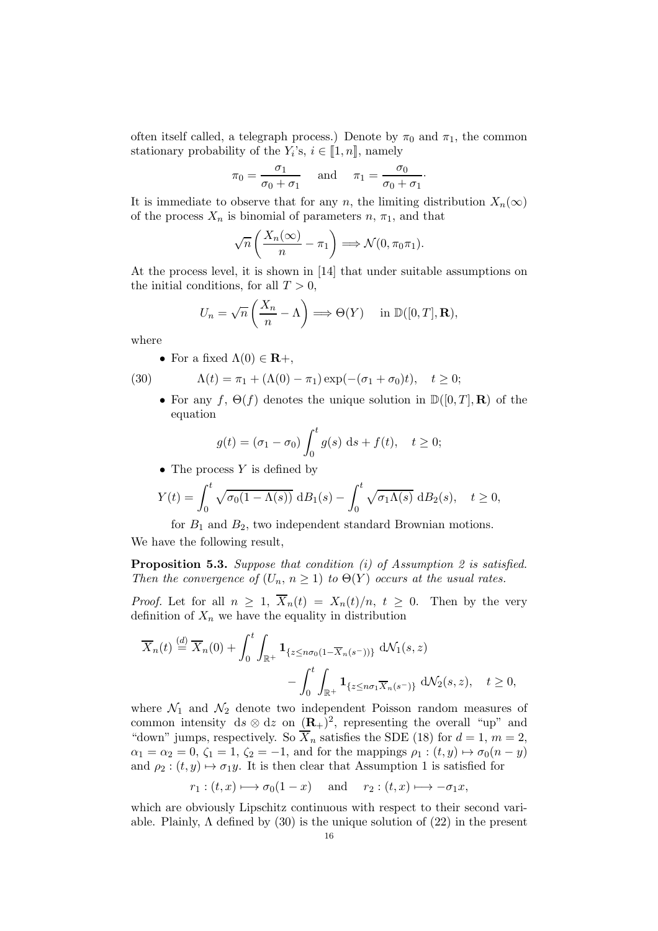often itself called, a telegraph process.) Denote by  $\pi_0$  and  $\pi_1$ , the common stationary probability of the  $Y_i$ 's,  $i \in [1, n]$ , namely

$$
\pi_0 = \frac{\sigma_1}{\sigma_0 + \sigma_1}
$$
 and  $\pi_1 = \frac{\sigma_0}{\sigma_0 + \sigma_1}$ .

It is immediate to observe that for any n, the limiting distribution  $X_n(\infty)$ of the process  $X_n$  is binomial of parameters  $n, \pi_1$ , and that

$$
\sqrt{n}\left(\frac{X_n(\infty)}{n} - \pi_1\right) \Longrightarrow \mathcal{N}(0, \pi_0 \pi_1).
$$

At the process level, it is shown in [14] that under suitable assumptions on the initial conditions, for all  $T > 0$ ,

$$
U_n = \sqrt{n} \left( \frac{X_n}{n} - \Lambda \right) \Longrightarrow \Theta(Y) \quad \text{ in } \mathbb{D}([0, T], \mathbf{R}),
$$

where

• For a fixed  $\Lambda(0) \in \mathbf{R}$ +,

$$
(30)
$$

(30) 
$$
\Lambda(t) = \pi_1 + (\Lambda(0) - \pi_1) \exp(-(\sigma_1 + \sigma_0)t), \quad t \ge 0;
$$

• For any f,  $\Theta(f)$  denotes the unique solution in  $\mathbb{D}([0,T], \mathbf{R})$  of the equation

$$
g(t) = (\sigma_1 - \sigma_0) \int_0^t g(s) \, ds + f(t), \quad t \ge 0;
$$

• The process  $Y$  is defined by

$$
Y(t) = \int_0^t \sqrt{\sigma_0(1 - \Lambda(s))} \, dB_1(s) - \int_0^t \sqrt{\sigma_1 \Lambda(s)} \, dB_2(s), \quad t \ge 0,
$$

for  $B_1$  and  $B_2$ , two independent standard Brownian motions.

We have the following result,

Proposition 5.3. Suppose that condition (i) of Assumption 2 is satisfied. Then the convergence of  $(U_n, n \geq 1)$  to  $\Theta(Y)$  occurs at the usual rates.

*Proof.* Let for all  $n \geq 1$ ,  $\overline{X}_n(t) = X_n(t)/n$ ,  $t \geq 0$ . Then by the very definition of  $X_n$  we have the equality in distribution

$$
\overline{X}_n(t) \stackrel{(d)}{=} \overline{X}_n(0) + \int_0^t \int_{\mathbb{R}^+} \mathbf{1}_{\{z \le n\sigma_0(1-\overline{X}_n(s^-))\}} d\mathcal{N}_1(s, z) - \int_0^t \int_{\mathbb{R}^+} \mathbf{1}_{\{z \le n\sigma_1 \overline{X}_n(s^-)\}} d\mathcal{N}_2(s, z), \quad t \ge 0,
$$

where  $\mathcal{N}_1$  and  $\mathcal{N}_2$  denote two independent Poisson random measures of common intensity  $ds \otimes dz$  on  $(\mathbf{R}_{+})^2$ , representing the overall "up" and "down" jumps, respectively. So  $\overline{X}_n$  satisfies the SDE (18) for  $d = 1, m = 2$ ,  $\alpha_1 = \alpha_2 = 0, \zeta_1 = 1, \zeta_2 = -1$ , and for the mappings  $\rho_1 : (t, y) \mapsto \sigma_0(n - y)$ and  $\rho_2$ :  $(t, y) \mapsto \sigma_1 y$ . It is then clear that Assumption 1 is satisfied for

$$
r_1:(t,x)\longmapsto \sigma_0(1-x)
$$
 and  $r_2:(t,x)\longmapsto -\sigma_1x$ ,

which are obviously Lipschitz continuous with respect to their second variable. Plainly,  $\Lambda$  defined by (30) is the unique solution of (22) in the present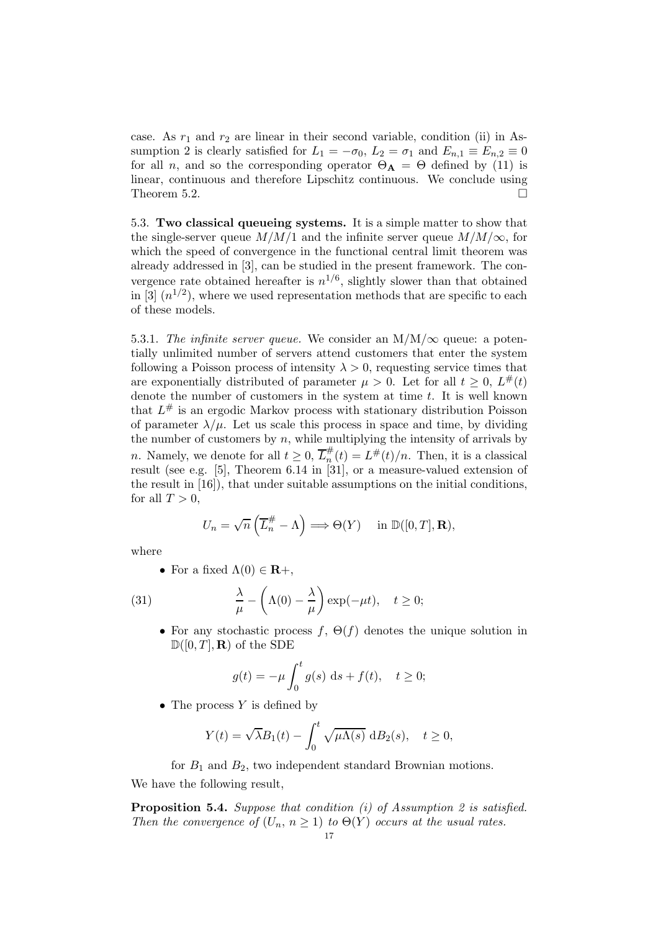case. As  $r_1$  and  $r_2$  are linear in their second variable, condition (ii) in Assumption 2 is clearly satisfied for  $L_1 = -\sigma_0$ ,  $L_2 = \sigma_1$  and  $E_{n,1} \equiv E_{n,2} \equiv 0$ for all *n*, and so the corresponding operator  $\Theta_{\bf A} = \Theta$  defined by (11) is linear, continuous and therefore Lipschitz continuous. We conclude using Theorem 5.2.  $\Box$ 

5.3. Two classical queueing systems. It is a simple matter to show that the single-server queue  $M/M/1$  and the infinite server queue  $M/M/\infty$ , for which the speed of convergence in the functional central limit theorem was already addressed in [3], can be studied in the present framework. The convergence rate obtained hereafter is  $n^{1/6}$ , slightly slower than that obtained in [3]  $(n^{1/2})$ , where we used representation methods that are specific to each of these models.

5.3.1. The infinite server queue. We consider an  $M/M/\infty$  queue: a potentially unlimited number of servers attend customers that enter the system following a Poisson process of intensity  $\lambda > 0$ , requesting service times that are exponentially distributed of parameter  $\mu > 0$ . Let for all  $t \geq 0$ ,  $L^{\#}(t)$ denote the number of customers in the system at time  $t$ . It is well known that  $L^{\#}$  is an ergodic Markov process with stationary distribution Poisson of parameter  $\lambda/\mu$ . Let us scale this process in space and time, by dividing the number of customers by  $n$ , while multiplying the intensity of arrivals by *n*. Namely, we denote for all  $t \geq 0$ ,  $\overline{L}_n^{\#}$  $\frac{\pi}{n}(t) = L^{\#}(t)/n$ . Then, it is a classical result (see e.g. [5], Theorem 6.14 in [31], or a measure-valued extension of the result in  $[16]$ , that under suitable assumptions on the initial conditions, for all  $T > 0$ ,

$$
U_n = \sqrt{n} \left( \overline{L}_n^{\#} - \Lambda \right) \Longrightarrow \Theta(Y) \quad \text{ in } \mathbb{D}([0, T], \mathbf{R}),
$$

where

• For a fixed  $\Lambda(0) \in \mathbf{R}$ +,

(31) 
$$
\frac{\lambda}{\mu} - \left(\Lambda(0) - \frac{\lambda}{\mu}\right) \exp(-\mu t), \quad t \ge 0;
$$

• For any stochastic process  $f, \Theta(f)$  denotes the unique solution in  $\mathbb{D}([0,T],\mathbf{R})$  of the SDE

$$
g(t) = -\mu \int_0^t g(s) \, ds + f(t), \quad t \ge 0;
$$

• The process  $Y$  is defined by

$$
Y(t) = \sqrt{\lambda}B_1(t) - \int_0^t \sqrt{\mu\Lambda(s)} \, dB_2(s), \quad t \ge 0,
$$

for  $B_1$  and  $B_2$ , two independent standard Brownian motions. We have the following result,

Proposition 5.4. Suppose that condition (i) of Assumption 2 is satisfied. Then the convergence of  $(U_n, n \geq 1)$  to  $\Theta(Y)$  occurs at the usual rates.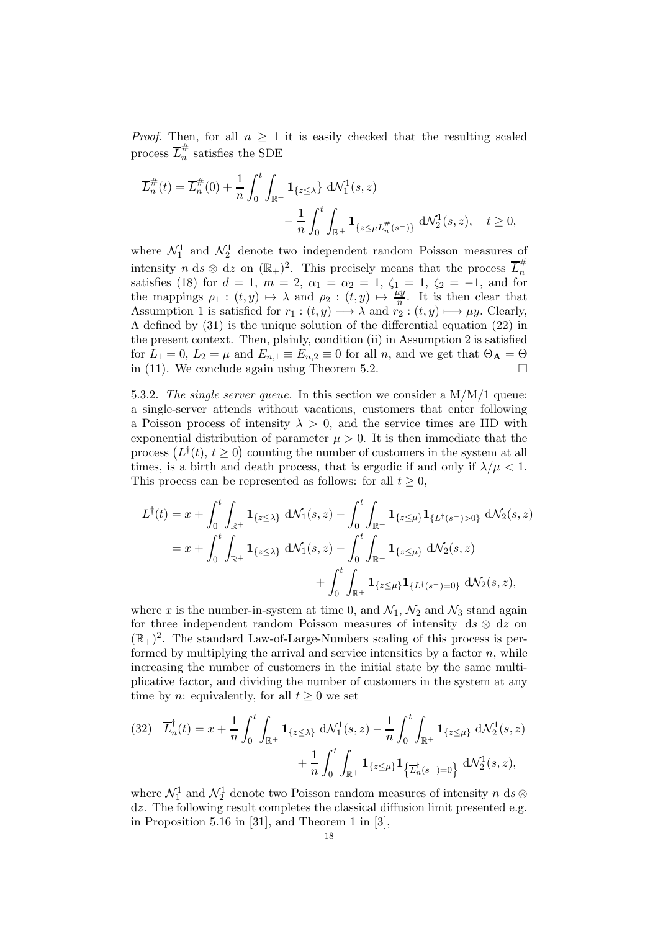*Proof.* Then, for all  $n \geq 1$  it is easily checked that the resulting scaled process  $\overline{L}_n^{\#}$  $\frac{\pi}{n}$  satisfies the SDE

$$
\overline{L}_{n}^{\#}(t) = \overline{L}_{n}^{\#}(0) + \frac{1}{n} \int_{0}^{t} \int_{\mathbb{R}^{+}} \mathbf{1}_{\{z \le \lambda\}} d\mathcal{N}_{1}^{1}(s, z) - \frac{1}{n} \int_{0}^{t} \int_{\mathbb{R}^{+}} \mathbf{1}_{\{z \le \mu \overline{L}_{n}^{\#}(s^{-})\}} d\mathcal{N}_{2}^{1}(s, z), \quad t \ge 0,
$$

where  $\mathcal{N}_1^1$  and  $\mathcal{N}_2^1$  denote two independent random Poisson measures of intensity  $n \, ds \otimes dz$  on  $(\mathbb{R}_+)^2$ . This precisely means that the process  $\overline{L}_n^{\#}$ n satisfies (18) for  $d = 1$ ,  $m = 2$ ,  $\alpha_1 = \alpha_2 = 1$ ,  $\zeta_1 = 1$ ,  $\zeta_2 = -1$ , and for the mappings  $\rho_1 : (t, y) \mapsto \lambda$  and  $\rho_2 : (t, y) \mapsto \frac{\mu y}{n}$ . It is then clear that Assumption 1 is satisfied for  $r_1 : (t, y) \longmapsto \lambda$  and  $r_2 : (t, y) \longmapsto \mu y$ . Clearly,  $\Lambda$  defined by (31) is the unique solution of the differential equation (22) in the present context. Then, plainly, condition (ii) in Assumption 2 is satisfied for  $L_1 = 0$ ,  $L_2 = \mu$  and  $E_{n,1} \equiv E_{n,2} \equiv 0$  for all n, and we get that  $\Theta_{\mathbf{A}} = \Theta$  in (11). We conclude again using Theorem 5.2. in (11). We conclude again using Theorem 5.2.

5.3.2. The single server queue. In this section we consider a  $M/M/1$  queue: a single-server attends without vacations, customers that enter following a Poisson process of intensity  $\lambda > 0$ , and the service times are IID with exponential distribution of parameter  $\mu > 0$ . It is then immediate that the process  $(L^{\dagger}(t), t \ge 0)$  counting the number of customers in the system at all times, is a birth and death process, that is ergodic if and only if  $\lambda/\mu < 1$ . This process can be represented as follows: for all  $t \geq 0$ ,

$$
L^{\dagger}(t) = x + \int_0^t \int_{\mathbb{R}^+} \mathbf{1}_{\{z \le \lambda\}} d\mathcal{N}_1(s, z) - \int_0^t \int_{\mathbb{R}^+} \mathbf{1}_{\{z \le \mu\}} \mathbf{1}_{\{L^{\dagger}(s^-) > 0\}} d\mathcal{N}_2(s, z)
$$
  
=  $x + \int_0^t \int_{\mathbb{R}^+} \mathbf{1}_{\{z \le \lambda\}} d\mathcal{N}_1(s, z) - \int_0^t \int_{\mathbb{R}^+} \mathbf{1}_{\{z \le \mu\}} d\mathcal{N}_2(s, z)$   
+  $\int_0^t \int_{\mathbb{R}^+} \mathbf{1}_{\{z \le \mu\}} \mathbf{1}_{\{L^{\dagger}(s^-) = 0\}} d\mathcal{N}_2(s, z),$ 

where x is the number-in-system at time 0, and  $\mathcal{N}_1$ ,  $\mathcal{N}_2$  and  $\mathcal{N}_3$  stand again for three independent random Poisson measures of intensity ds  $\otimes$  dz on  $(\mathbb{R}_{+})^2$ . The standard Law-of-Large-Numbers scaling of this process is performed by multiplying the arrival and service intensities by a factor  $n$ , while increasing the number of customers in the initial state by the same multiplicative factor, and dividing the number of customers in the system at any time by n: equivalently, for all  $t \geq 0$  we set

$$
(32) \quad \overline{L}_n^{\dagger}(t) = x + \frac{1}{n} \int_0^t \int_{\mathbb{R}^+} \mathbf{1}_{\{z \le \lambda\}} \, \mathrm{d} \mathcal{N}_1^1(s, z) - \frac{1}{n} \int_0^t \int_{\mathbb{R}^+} \mathbf{1}_{\{z \le \mu\}} \, \mathrm{d} \mathcal{N}_2^1(s, z) \\ + \frac{1}{n} \int_0^t \int_{\mathbb{R}^+} \mathbf{1}_{\{z \le \mu\}} \mathbf{1}_{\{\overline{L}_n^{\dagger}(s^-) = 0\}} \, \mathrm{d} \mathcal{N}_2^1(s, z),
$$

where  $\mathcal{N}_1^1$  and  $\mathcal{N}_2^1$  denote two Poisson random measures of intensity n ds  $\otimes$ dz. The following result completes the classical diffusion limit presented e.g. in Proposition 5.16 in [31], and Theorem 1 in [3],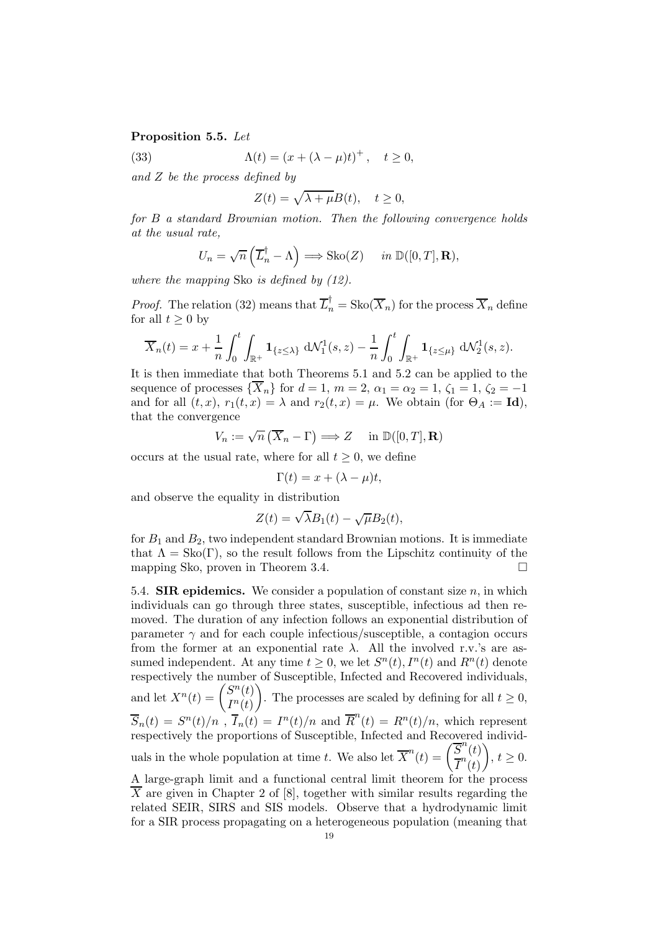#### Proposition 5.5. Let

(33) 
$$
\Lambda(t) = (x + (\lambda - \mu)t)^{+}, \quad t \ge 0,
$$

and Z be the process defined by

$$
Z(t) = \sqrt{\lambda + \mu} B(t), \quad t \ge 0,
$$

for B a standard Brownian motion. Then the following convergence holds at the usual rate,

$$
U_n = \sqrt{n} \left( \overline{L}_n^{\dagger} - \Lambda \right) \Longrightarrow \text{Sko}(Z) \quad in \ \mathbb{D}([0, T], \mathbf{R}),
$$

where the mapping Sko is defined by (12).

*Proof.* The relation (32) means that  $\overline{L}_n^{\dagger} = \text{Sko}(\overline{X}_n)$  for the process  $\overline{X}_n$  define for all  $t \geq 0$  by

$$
\overline{X}_n(t) = x + \frac{1}{n} \int_0^t \int_{\mathbb{R}^+} \mathbf{1}_{\{z \le \lambda\}} d\mathcal{N}_1^1(s, z) - \frac{1}{n} \int_0^t \int_{\mathbb{R}^+} \mathbf{1}_{\{z \le \mu\}} d\mathcal{N}_2^1(s, z).
$$

It is then immediate that both Theorems 5.1 and 5.2 can be applied to the sequence of processes  $\{X_n\}$  for  $d=1$ ,  $m=2$ ,  $\alpha_1=\alpha_2=1$ ,  $\zeta_1=1$ ,  $\zeta_2=-1$ and for all  $(t, x)$ ,  $r_1(t, x) = \lambda$  and  $r_2(t, x) = \mu$ . We obtain (for  $\Theta_A := \text{Id}$ ), that the convergence

$$
V_n := \sqrt{n} \left( \overline{X}_n - \Gamma \right) \Longrightarrow Z \quad \text{ in } \mathbb{D}([0, T], \mathbf{R})
$$

occurs at the usual rate, where for all  $t \geq 0$ , we define

$$
\Gamma(t) = x + (\lambda - \mu)t,
$$

and observe the equality in distribution

$$
Z(t) = \sqrt{\lambda}B_1(t) - \sqrt{\mu}B_2(t),
$$

for  $B_1$  and  $B_2$ , two independent standard Brownian motions. It is immediate that  $\Lambda = \text{Sko}(\Gamma)$ , so the result follows from the Lipschitz continuity of the mapping Sko, proven in Theorem 3.4.

5.4. **SIR epidemics.** We consider a population of constant size  $n$ , in which individuals can go through three states, susceptible, infectious ad then removed. The duration of any infection follows an exponential distribution of parameter  $\gamma$  and for each couple infectious/susceptible, a contagion occurs from the former at an exponential rate  $\lambda$ . All the involved r.v.'s are assumed independent. At any time  $t \geq 0$ , we let  $S<sup>n</sup>(t)$ ,  $I<sup>n</sup>(t)$  and  $R<sup>n</sup>(t)$  denote respectively the number of Susceptible, Infected and Recovered individuals, and let  $X^n(t) = \begin{pmatrix} S^n(t) \\ m(t) \end{pmatrix}$  $I^n(t)$  $\setminus$ . The processes are scaled by defining for all  $t \geq 0$ ,  $\overline{S}_n(t) = S^n(t)/n$ ,  $\overline{I}_n(t) = I^n(t)/n$  and  $\overline{R}^n(t) = R^n(t)/n$ , which represent respectively the proportions of Susceptible, Infected and Recovered individuals in the whole population at time t. We also let  $\overline{X}^n(t) = \left(\frac{\overline{S}^n(t)}{\overline{S}^n(t)}\right)$  $\overline{I}^n(t)$  $\setminus$  $, t \geq 0.$ A large-graph limit and a functional central limit theorem for the process  $\overline{X}$  are given in Chapter 2 of [8], together with similar results regarding the related SEIR, SIRS and SIS models. Observe that a hydrodynamic limit

for a SIR process propagating on a heterogeneous population (meaning that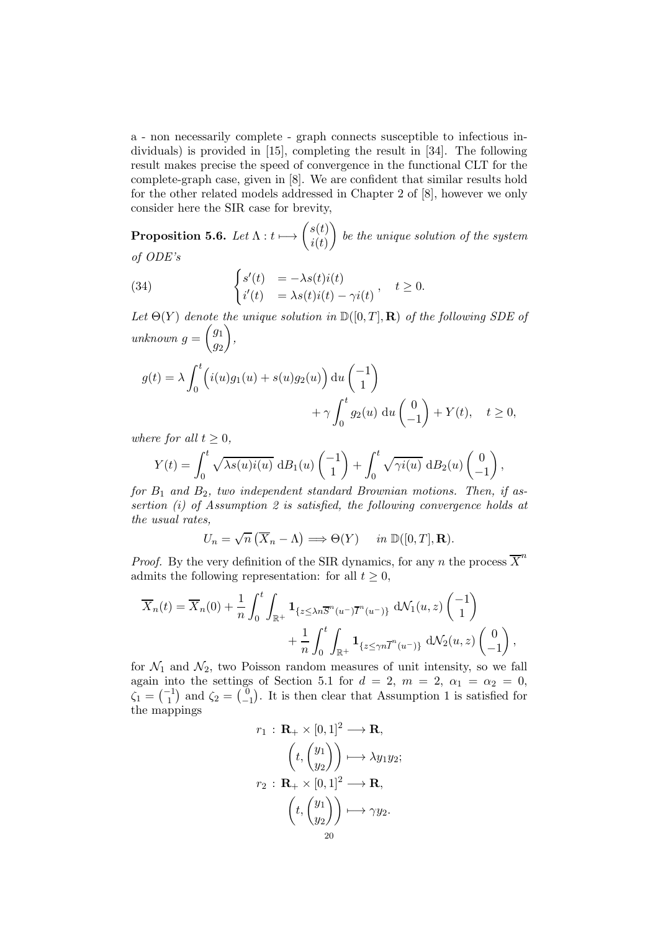a - non necessarily complete - graph connects susceptible to infectious individuals) is provided in [15], completing the result in [34]. The following result makes precise the speed of convergence in the functional CLT for the complete-graph case, given in [8]. We are confident that similar results hold for the other related models addressed in Chapter 2 of [8], however we only consider here the SIR case for brevity,

Proposition 5.6. Let  $\Lambda: t \longmapsto \begin{pmatrix} s(t) \ i(t) \end{pmatrix}$  $i(t)$  $\setminus$ be the unique solution of the system of ODE's

(34) 
$$
\begin{cases} s'(t) &= -\lambda s(t)i(t) \\ i'(t) &= \lambda s(t)i(t) - \gamma i(t) \end{cases}, \quad t \ge 0.
$$

Let  $\Theta(Y)$  denote the unique solution in  $\mathbb{D}([0,T],\mathbf{R})$  of the following SDE of unknown  $g =$  $\int g_1$  $\overline{g_2}$  $\setminus$ ,

$$
g(t) = \lambda \int_0^t \left( i(u)g_1(u) + s(u)g_2(u) \right) du \begin{pmatrix} -1 \\ 1 \end{pmatrix}
$$
  
+  $\gamma \int_0^t g_2(u) du \begin{pmatrix} 0 \\ -1 \end{pmatrix} + Y(t), \quad t \ge 0,$ 

where for all  $t > 0$ ,

$$
Y(t) = \int_0^t \sqrt{\lambda s(u)i(u)} \, d B_1(u) \begin{pmatrix} -1 \\ 1 \end{pmatrix} + \int_0^t \sqrt{\gamma i(u)} \, d B_2(u) \begin{pmatrix} 0 \\ -1 \end{pmatrix},
$$

for  $B_1$  and  $B_2$ , two independent standard Brownian motions. Then, if assertion (i) of Assumption 2 is satisfied, the following convergence holds at the usual rates,

$$
U_n = \sqrt{n} \left( \overline{X}_n - \Lambda \right) \Longrightarrow \Theta(Y) \quad in \ \mathbb{D}([0, T], \mathbf{R}).
$$

*Proof.* By the very definition of the SIR dynamics, for any n the process  $\overline{X}^n$ admits the following representation: for all  $t \geq 0$ ,

$$
\overline{X}_n(t) = \overline{X}_n(0) + \frac{1}{n} \int_0^t \int_{\mathbb{R}^+} \mathbf{1}_{\{z \le \lambda n \overline{S}^n(u^-) \overline{I}^n(u^-)\}} d\mathcal{N}_1(u, z) \begin{pmatrix} -1 \\ 1 \end{pmatrix} + \frac{1}{n} \int_0^t \int_{\mathbb{R}^+} \mathbf{1}_{\{z \le \gamma n \overline{I}^n(u^-)\}} d\mathcal{N}_2(u, z) \begin{pmatrix} 0 \\ -1 \end{pmatrix},
$$

for  $\mathcal{N}_1$  and  $\mathcal{N}_2$ , two Poisson random measures of unit intensity, so we fall again into the settings of Section 5.1 for  $d = 2, m = 2, \alpha_1 = \alpha_2 = 0,$  $\zeta_1 = \begin{pmatrix} -1 \\ 1 \end{pmatrix}$  and  $\zeta_2 = \begin{pmatrix} 0 \\ -1 \end{pmatrix}$  $\begin{bmatrix} 0 \\ -1 \end{bmatrix}$ . It is then clear that Assumption 1 is satisfied for the mappings

$$
r_1 : \mathbf{R}_+ \times [0,1]^2 \longrightarrow \mathbf{R},
$$

$$
\left(t, \begin{pmatrix} y_1 \\ y_2 \end{pmatrix} \right) \longmapsto \lambda y_1 y_2;
$$

$$
r_2 : \mathbf{R}_+ \times [0,1]^2 \longrightarrow \mathbf{R},
$$

$$
\left(t, \begin{pmatrix} y_1 \\ y_2 \end{pmatrix} \right) \longmapsto \gamma y_2.
$$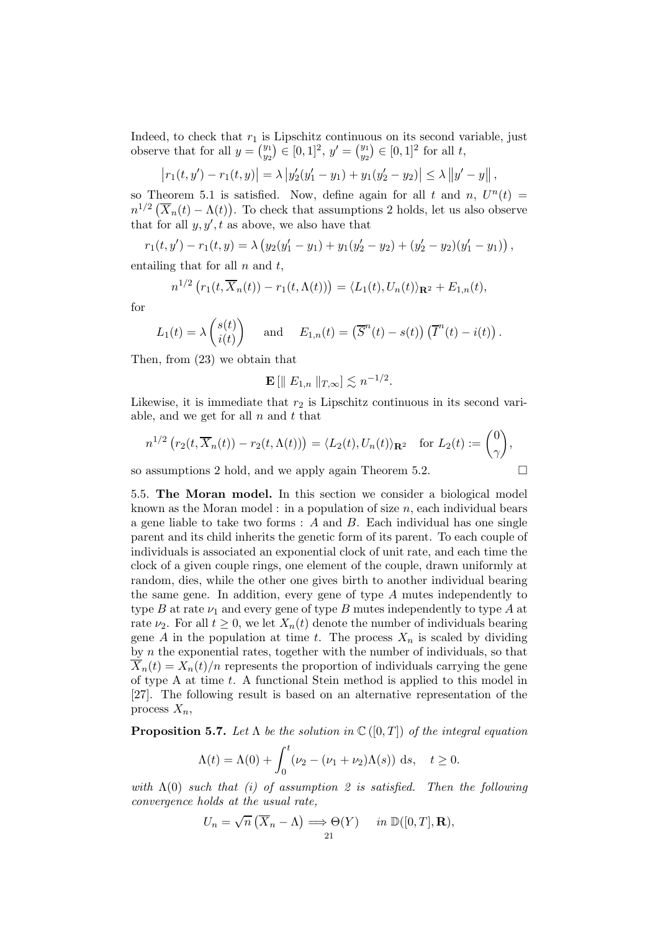Indeed, to check that  $r_1$  is Lipschitz continuous on its second variable, just observe that for all  $y = \binom{y_1}{y_2}$  $y_1^{y_1} \in [0,1]^2, y' = \binom{y_1}{y_2}$  $y_2^{y_1} \equiv [0, 1]^2$  for all t,

$$
\left| r_1(t, y') - r_1(t, y) \right| = \lambda \left| y_2'(y_1' - y_1) + y_1(y_2' - y_2) \right| \le \lambda \left\| y' - y \right\|,
$$

so Theorem 5.1 is satisfied. Now, define again for all t and n,  $U^n(t)$  =  $n^{1/2} \left( \overline{X}_n(t) - \Lambda(t) \right)$ . To check that assumptions 2 holds, let us also observe that for all  $y, y', t$  as above, we also have that

 $r_1(t, y') - r_1(t, y) = \lambda \left( y_2(y'_1 - y_1) + y_1(y'_2 - y_2) + (y'_2 - y_2)(y'_1 - y_1) \right),$ 

entailing that for all  $n$  and  $t$ ,

$$
n^{1/2} \left( r_1(t, \overline{X}_n(t)) - r_1(t, \Lambda(t)) \right) = \langle L_1(t), U_n(t) \rangle_{\mathbf{R}^2} + E_{1,n}(t),
$$

for

$$
L_1(t) = \lambda \begin{pmatrix} s(t) \\ i(t) \end{pmatrix}
$$
 and  $E_{1,n}(t) = (\overline{S}^n(t) - s(t)) (\overline{I}^n(t) - i(t)).$ 

Then, from (23) we obtain that

$$
\mathbf{E} \left[ \parallel E_{1,n} \parallel_{T,\infty} \right] \lesssim n^{-1/2}.
$$

Likewise, it is immediate that  $r_2$  is Lipschitz continuous in its second variable, and we get for all  $n$  and  $t$  that

$$
n^{1/2} \left( r_2(t, \overline{X}_n(t)) - r_2(t, \Lambda(t)) \right) = \langle L_2(t), U_n(t) \rangle_{\mathbf{R}^2} \quad \text{for } L_2(t) := \begin{pmatrix} 0 \\ \gamma \end{pmatrix},
$$

so assumptions 2 hold, and we apply again Theorem 5.2.  $\Box$ 

5.5. The Moran model. In this section we consider a biological model known as the Moran model : in a population of size  $n$ , each individual bears a gene liable to take two forms :  $A$  and  $B$ . Each individual has one single parent and its child inherits the genetic form of its parent. To each couple of individuals is associated an exponential clock of unit rate, and each time the clock of a given couple rings, one element of the couple, drawn uniformly at random, dies, while the other one gives birth to another individual bearing the same gene. In addition, every gene of type A mutes independently to type B at rate  $\nu_1$  and every gene of type B mutes independently to type A at rate  $\nu_2$ . For all  $t \geq 0$ , we let  $X_n(t)$  denote the number of individuals bearing gene A in the population at time t. The process  $X_n$  is scaled by dividing by  $n$  the exponential rates, together with the number of individuals, so that  $X_n(t) = X_n(t)/n$  represents the proportion of individuals carrying the gene of type A at time  $t$ . A functional Stein method is applied to this model in [27]. The following result is based on an alternative representation of the process  $X_n$ ,

**Proposition 5.7.** Let  $\Lambda$  be the solution in  $\mathbb{C}([0,T])$  of the integral equation

$$
\Lambda(t) = \Lambda(0) + \int_0^t (\nu_2 - (\nu_1 + \nu_2)\Lambda(s)) ds, \quad t \ge 0.
$$

with  $\Lambda(0)$  such that (i) of assumption 2 is satisfied. Then the following convergence holds at the usual rate,

$$
U_n = \sqrt{n} \left( \overline{X}_n - \Lambda \right) \Longrightarrow \Theta(Y) \quad in \ \mathbb{D}([0, T], \mathbf{R}),
$$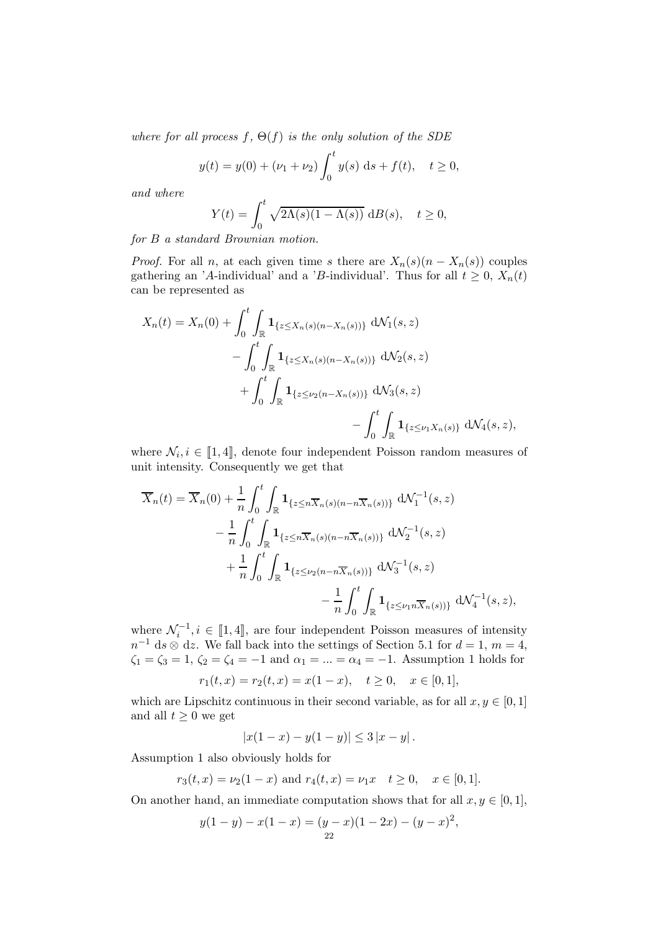where for all process  $f, \Theta(f)$  is the only solution of the SDE

$$
y(t) = y(0) + (\nu_1 + \nu_2) \int_0^t y(s) \, ds + f(t), \quad t \ge 0,
$$

and where

$$
Y(t) = \int_0^t \sqrt{2\Lambda(s)(1-\Lambda(s))} \, dB(s), \quad t \ge 0,
$$

for B a standard Brownian motion.

*Proof.* For all n, at each given time s there are  $X_n(s)(n - X_n(s))$  couples gathering an 'A-individual' and a 'B-individual'. Thus for all  $t \geq 0$ ,  $X_n(t)$ can be represented as

$$
X_n(t) = X_n(0) + \int_0^t \int_{\mathbb{R}} \mathbf{1}_{\{z \le X_n(s)(n-X_n(s))\}} d\mathcal{N}_1(s, z)
$$
  
- 
$$
\int_0^t \int_{\mathbb{R}} \mathbf{1}_{\{z \le X_n(s)(n-X_n(s))\}} d\mathcal{N}_2(s, z)
$$
  
+ 
$$
\int_0^t \int_{\mathbb{R}} \mathbf{1}_{\{z \le \nu_2(n-X_n(s))\}} d\mathcal{N}_3(s, z)
$$
  
- 
$$
\int_0^t \int_{\mathbb{R}} \mathbf{1}_{\{z \le \nu_1 X_n(s)\}} d\mathcal{N}_4(s, z),
$$

where  $\mathcal{N}_i, i \in [\![1, 4]\!]$ , denote four independent Poisson random measures of unit intensity. Consequently we get that

$$
\overline{X}_n(t) = \overline{X}_n(0) + \frac{1}{n} \int_0^t \int_{\mathbb{R}} \mathbf{1}_{\{z \le n\overline{X}_n(s)(n-n\overline{X}_n(s))\}} d\mathcal{N}_1^{-1}(s, z) \n- \frac{1}{n} \int_0^t \int_{\mathbb{R}} \mathbf{1}_{\{z \le n\overline{X}_n(s)(n-n\overline{X}_n(s))\}} d\mathcal{N}_2^{-1}(s, z) \n+ \frac{1}{n} \int_0^t \int_{\mathbb{R}} \mathbf{1}_{\{z \le \nu_2(n-n\overline{X}_n(s))\}} d\mathcal{N}_3^{-1}(s, z) \n- \frac{1}{n} \int_0^t \int_{\mathbb{R}} \mathbf{1}_{\{z \le \nu_1 n\overline{X}_n(s))\}} d\mathcal{N}_4^{-1}(s, z),
$$

where  $\mathcal{N}_i^{-1}, i \in [\![1, 4]\!]$ , are four independent Poisson measures of intensity  $n^{-1}$  ds  $\otimes$  dz. We fall back into the settings of Section 5.1 for  $d = 1, m = 4$ ,  $\zeta_1 = \zeta_3 = 1, \, \zeta_2 = \zeta_4 = -1$  and  $\alpha_1 = ... = \alpha_4 = -1$ . Assumption 1 holds for

$$
r_1(t,x) = r_2(t,x) = x(1-x), \quad t \ge 0, \quad x \in [0,1],
$$

which are Lipschitz continuous in their second variable, as for all  $x, y \in [0, 1]$ and all  $t \geq 0$  we get

$$
|x(1-x) - y(1-y)| \le 3|x-y|.
$$

Assumption 1 also obviously holds for

$$
r_3(t,x) = \nu_2(1-x)
$$
 and  $r_4(t,x) = \nu_1 x$   $t \ge 0$ ,  $x \in [0,1]$ .

On another hand, an immediate computation shows that for all  $x, y \in [0, 1]$ ,

$$
y(1-y) - x(1-x) = (y-x)(1-2x) - (y-x)^2,
$$
  
22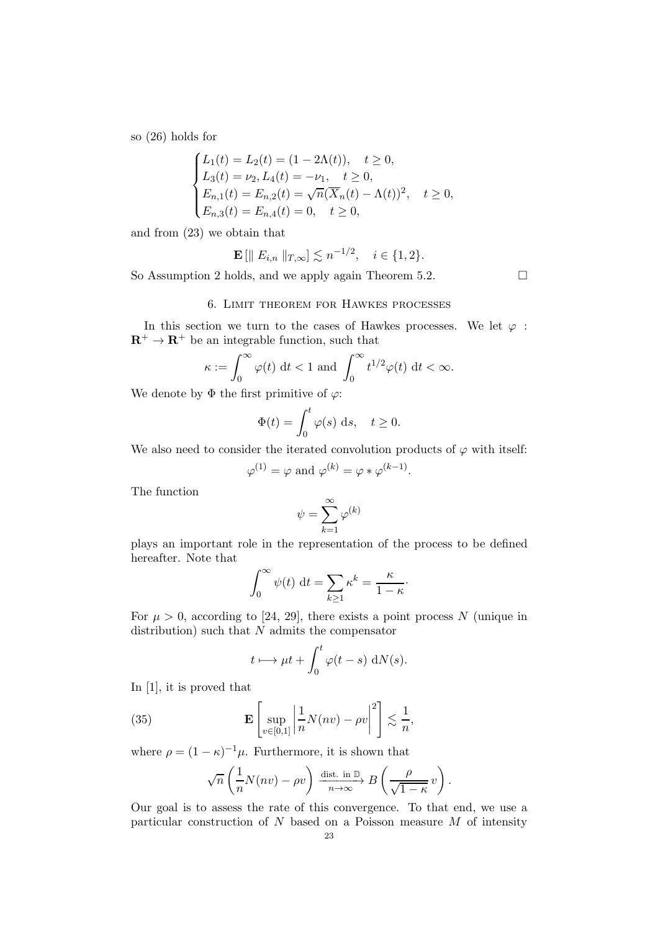so (26) holds for

$$
\begin{cases}\nL_1(t) = L_2(t) = (1 - 2\Lambda(t)), & t \ge 0, \\
L_3(t) = \nu_2, L_4(t) = -\nu_1, & t \ge 0, \\
E_{n,1}(t) = E_{n,2}(t) = \sqrt{n}(\overline{X}_n(t) - \Lambda(t))^2, & t \ge 0, \\
E_{n,3}(t) = E_{n,4}(t) = 0, & t \ge 0,\n\end{cases}
$$

and from (23) we obtain that

$$
\mathbf{E} [|| E_{i,n} ||_{T,\infty}] \lesssim n^{-1/2}, \quad i \in \{1,2\}.
$$

So Assumption 2 holds, and we apply again Theorem 5.2.  $\Box$ 

#### 6. Limit theorem for Hawkes processes

In this section we turn to the cases of Hawkes processes. We let  $\varphi$ :  $\mathbb{R}^+ \to \mathbb{R}^+$  be an integrable function, such that

$$
\kappa := \int_0^\infty \varphi(t) \, \mathrm{d}t < 1 \text{ and } \int_0^\infty t^{1/2} \varphi(t) \, \mathrm{d}t < \infty.
$$

We denote by  $\Phi$  the first primitive of  $\varphi$ :

$$
\Phi(t) = \int_0^t \varphi(s) \, \mathrm{d}s, \quad t \ge 0.
$$

We also need to consider the iterated convolution products of  $\varphi$  with itself:

$$
\varphi^{(1)} = \varphi
$$
 and  $\varphi^{(k)} = \varphi * \varphi^{(k-1)}$ .

The function

$$
\psi = \sum_{k=1}^\infty \varphi^{(k)}
$$

plays an important role in the representation of the process to be defined hereafter. Note that

$$
\int_0^\infty \psi(t) \, \mathrm{d}t = \sum_{k \ge 1} \kappa^k = \frac{\kappa}{1 - \kappa}.
$$

For  $\mu > 0$ , according to [24, 29], there exists a point process N (unique in distribution) such that  $N$  admits the compensator

$$
t \longmapsto \mu t + \int_0^t \varphi(t - s) \, \mathrm{d}N(s).
$$

In [1], it is proved that

(35) 
$$
\mathbf{E}\left[\sup_{v\in[0,1]}\left|\frac{1}{n}N(nv)-\rho v\right|^2\right] \lesssim \frac{1}{n},
$$

where  $\rho = (1 - \kappa)^{-1} \mu$ . Furthermore, it is shown that

$$
\sqrt{n}\left(\frac{1}{n}N(nv)-\rho v\right)\xrightarrow[n\to\infty]{\text{dist. in }\mathbb{D}} B\left(\frac{\rho}{\sqrt{1-\kappa}}v\right).
$$

Our goal is to assess the rate of this convergence. To that end, we use a particular construction of  $N$  based on a Poisson measure  $M$  of intensity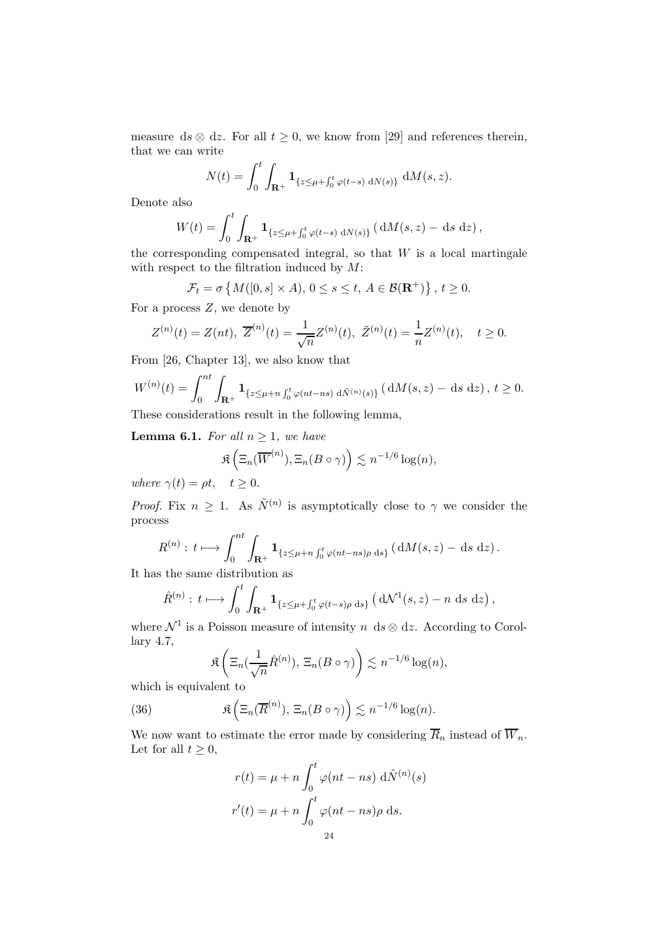measure ds  $\otimes$  dz. For all  $t \geq 0$ , we know from [29] and references therein, that we can write

$$
N(t) = \int_0^t \int_{\mathbf{R}^+} \mathbf{1}_{\{z \le \mu + \int_0^t \varphi(t-s) \, dN(s)\}} \, dM(s, z).
$$

Denote also

$$
W(t) = \int_0^t \int_{\mathbf{R}^+} \mathbf{1}_{\{z \le \mu + \int_0^t \varphi(t-s) \, dN(s)\}} \, (dM(s, z) - ds \, dz),
$$

the corresponding compensated integral, so that  $W$  is a local martingale with respect to the filtration induced by  $M$ :

$$
\mathcal{F}_t = \sigma \left\{ M([0, s] \times A), 0 \le s \le t, A \in \mathcal{B}(\mathbf{R}^+) \right\}, t \ge 0.
$$

For a process  $Z$ , we denote by

$$
Z^{(n)}(t) = Z(nt), \ \overline{Z}^{(n)}(t) = \frac{1}{\sqrt{n}} Z^{(n)}(t), \ \tilde{Z}^{(n)}(t) = \frac{1}{n} Z^{(n)}(t), \quad t \ge 0.
$$

From [26, Chapter 13], we also know that

$$
W^{(n)}(t) = \int_0^{nt} \int_{\mathbf{R}^+} \mathbf{1}_{\{z \le \mu + n \int_0^t \varphi(nt - ns) \ d\tilde{N}^{(n)}(s)\}} (dM(s, z) - ds \ dz), \ t \ge 0.
$$

These considerations result in the following lemma,

**Lemma 6.1.** For all  $n \geq 1$ , we have

$$
\mathfrak{K}\left(\Xi_n(\overline{W}^{(n)}), \Xi_n(B\circ\gamma)\right) \lesssim n^{-1/6}\log(n),
$$

where  $\gamma(t) = \rho t$ ,  $t > 0$ .

*Proof.* Fix  $n \geq 1$ . As  $\tilde{N}^{(n)}$  is asymptotically close to  $\gamma$  we consider the process

$$
R^{(n)}: t \longmapsto \int_0^{nt} \int_{\mathbf{R}^+} \mathbf{1}_{\{z \leq \mu + n \int_0^t \varphi(nt - ns)\rho \, ds\}} \left( dM(s, z) - ds \, dz \right).
$$

It has the same distribution as

$$
\hat{R}^{(n)}: t \longmapsto \int_0^t \int_{\mathbf{R}^+} \mathbf{1}_{\{z \le \mu + \int_0^t \varphi(t-s)\rho \, ds\}} \left( d\mathcal{N}^1(s, z) - n \, ds \, dz \right),
$$

where  $\mathcal{N}^1$  is a Poisson measure of intensity n ds  $\otimes$  dz. According to Corollary 4.7,

$$
\Re\left(\Xi_n(\frac{1}{\sqrt{n}}\hat{R}^{(n)}), \Xi_n(B\circ\gamma)\right) \lesssim n^{-1/6}\log(n),
$$

which is equivalent to

(36) 
$$
\mathfrak{K}\left(\Xi_n(\overline{R}^{(n)}), \Xi_n(B\circ\gamma)\right) \lesssim n^{-1/6}\log(n).
$$

We now want to estimate the error made by considering  $\overline{R}_n$  instead of  $\overline{W}_n$ . Let for all  $t \geq 0$ ,

$$
r(t) = \mu + n \int_0^t \varphi(nt - ns) d\tilde{N}^{(n)}(s)
$$

$$
r'(t) = \mu + n \int_0^t \varphi(nt - ns)\rho ds.
$$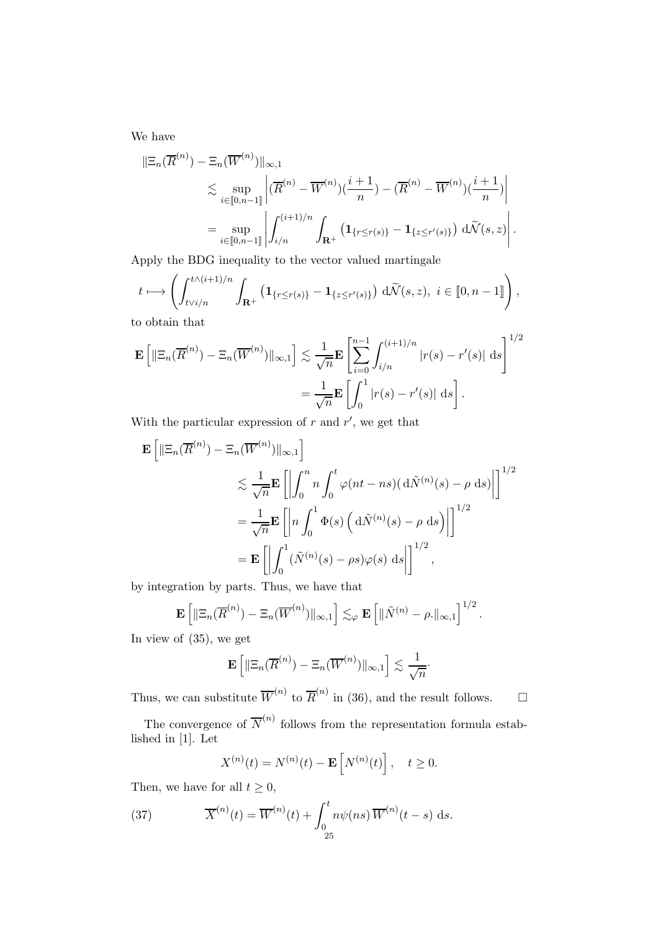We have

$$
\|\Xi_n(\overline{R}^{(n)}) - \Xi_n(\overline{W}^{(n)})\|_{\infty,1} \n\lesssim \sup_{i \in [\![0,n-1]\!]} \left| (\overline{R}^{(n)} - \overline{W}^{(n)})(\frac{i+1}{n}) - (\overline{R}^{(n)} - \overline{W}^{(n)})(\frac{i+1}{n}) \right| \n= \sup_{i \in [\![0,n-1]\!]} \left| \int_{i/n}^{(i+1)/n} \int_{\mathbf{R}^+} \left( \mathbf{1}_{\{r \le r(s)\}} - \mathbf{1}_{\{z \le r'(s)\}} \right) d\widetilde{\mathcal{N}}(s,z) \right|.
$$

Apply the BDG inequality to the vector valued martingale

$$
t \longmapsto \left( \int_{t \vee i/n}^{t \wedge (i+1)/n} \int_{\mathbf{R}^+} \left( \mathbf{1}_{\{r \leq r(s)\}} - \mathbf{1}_{\{z \leq r'(s)\}} \right) d\widetilde{\mathcal{N}}(s, z), i \in [0, n-1] \right),
$$

to obtain that

$$
\mathbf{E}\left[\|\Xi_n(\overline{R}^{(n)}) - \Xi_n(\overline{W}^{(n)})\|_{\infty,1}\right] \lesssim \frac{1}{\sqrt{n}} \mathbf{E}\left[\sum_{i=0}^{n-1} \int_{i/n}^{(i+1)/n} |r(s) - r'(s)| \,ds\right]^{1/2}
$$

$$
= \frac{1}{\sqrt{n}} \mathbf{E}\left[\int_0^1 |r(s) - r'(s)| \,ds\right].
$$

With the particular expression of  $r$  and  $r'$ , we get that

$$
\mathbf{E}\left[\|\Xi_n(\overline{R}^{(n)}) - \Xi_n(\overline{W}^{(n)})\|_{\infty,1}\right]
$$
  
\n
$$
\lesssim \frac{1}{\sqrt{n}} \mathbf{E}\left[\left|\int_0^n n \int_0^t \varphi(nt - ns)(\mathrm{d}\tilde{N}^{(n)}(s) - \rho \mathrm{d}s)\right|\right]^{1/2}
$$
  
\n
$$
= \frac{1}{\sqrt{n}} \mathbf{E}\left[\left|n \int_0^1 \Phi(s) \left(\mathrm{d}\tilde{N}^{(n)}(s) - \rho \mathrm{d}s\right)\right|\right]^{1/2}
$$
  
\n
$$
= \mathbf{E}\left[\left|\int_0^1 (\tilde{N}^{(n)}(s) - \rho s) \varphi(s) \mathrm{d}s\right|\right]^{1/2},
$$

by integration by parts. Thus, we have that

$$
\mathbf{E}\left[\|\Xi_n(\overline{R}^{(n)})-\Xi_n(\overline{W}^{(n)})\|_{\infty,1}\right]\lesssim_{\varphi}\mathbf{E}\left[\|\tilde{N}^{(n)}-\rho.\|_{\infty,1}\right]^{1/2}.
$$

In view of (35), we get

$$
\mathbf{E}\left[\left\|\Xi_n(\overline{R}^{(n)})-\Xi_n(\overline{W}^{(n)})\right\|_{\infty,1}\right] \lesssim \frac{1}{\sqrt{n}}.
$$

Thus, we can substitute  $\overline{W}^{(n)}$  to  $\overline{R}^{(n)}$  in (36), and the result follows.  $\Box$ 

The convergence of  $\overline{N}^{(n)}$  follows from the representation formula established in [1]. Let

$$
X^{(n)}(t) = N^{(n)}(t) - \mathbf{E}\left[N^{(n)}(t)\right], \quad t \ge 0.
$$

Then, we have for all  $t \geq 0$ ,

(37) 
$$
\overline{X}^{(n)}(t) = \overline{W}^{(n)}(t) + \int_0^t n\psi(ns)\overline{W}^{(n)}(t-s) ds.
$$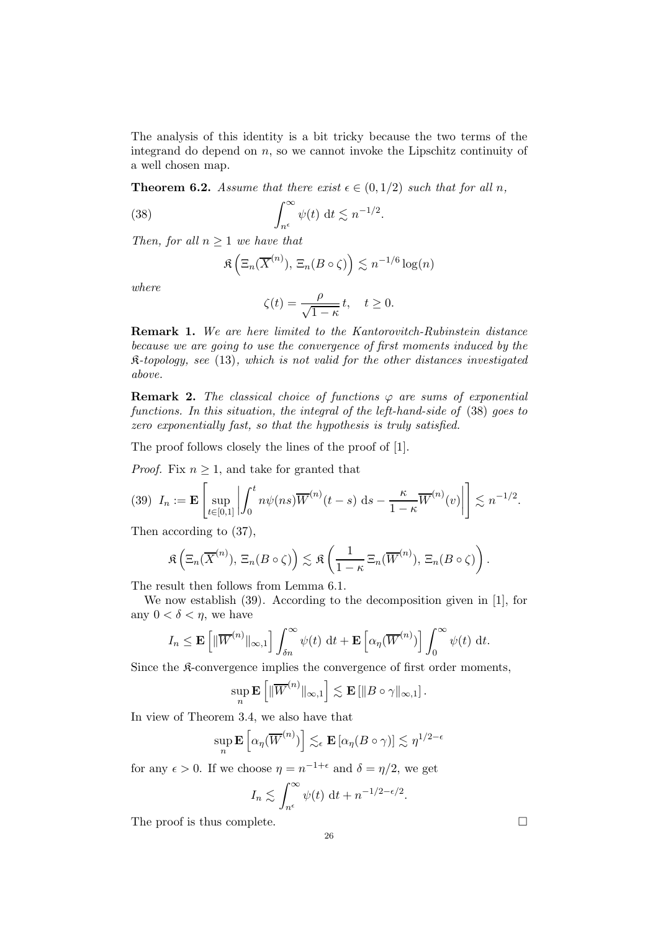The analysis of this identity is a bit tricky because the two terms of the integrand do depend on  $n$ , so we cannot invoke the Lipschitz continuity of a well chosen map.

**Theorem 6.2.** Assume that there exist  $\epsilon \in (0, 1/2)$  such that for all n,

(38) 
$$
\int_{n^{\epsilon}}^{\infty} \psi(t) dt \lesssim n^{-1/2}.
$$

Then, for all  $n \geq 1$  we have that

$$
\Re\left(\Xi_n(\overline{X}^{(n)}), \Xi_n(B\circ\zeta)\right) \lesssim n^{-1/6}\log(n)
$$

where

$$
\zeta(t) = \frac{\rho}{\sqrt{1-\kappa}}t, \quad t \ge 0.
$$

Remark 1. We are here limited to the Kantorovitch-Rubinstein distance because we are going to use the convergence of first moments induced by the  $\mathfrak{K}\text{-}topology,$  see (13), which is not valid for the other distances investigated above.

**Remark 2.** The classical choice of functions  $\varphi$  are sums of exponential functions. In this situation, the integral of the left-hand-side of (38) goes to zero exponentially fast, so that the hypothesis is truly satisfied.

The proof follows closely the lines of the proof of [1].

*Proof.* Fix  $n \geq 1$ , and take for granted that

$$
(39) \ \ I_n := \mathbf{E} \left[ \sup_{t \in [0,1]} \left| \int_0^t n \psi(ns) \overline{W}^{(n)}(t-s) \, \mathrm{d}s - \frac{\kappa}{1-\kappa} \overline{W}^{(n)}(v) \right| \right] \lesssim n^{-1/2}.
$$

Then according to (37),

$$
\mathfrak{K}\left(\Xi_n(\overline{X}^{(n)}), \Xi_n(B\circ\zeta)\right) \lesssim \mathfrak{K}\left(\frac{1}{1-\kappa}\Xi_n(\overline{W}^{(n)}), \Xi_n(B\circ\zeta)\right).
$$

The result then follows from Lemma 6.1.

We now establish (39). According to the decomposition given in [1], for any  $0 < \delta < \eta$ , we have

$$
I_n \leq \mathbf{E}\left[\|\overline{W}^{(n)}\|_{\infty,1}\right] \int_{\delta n}^{\infty} \psi(t) dt + \mathbf{E}\left[\alpha_{\eta}(\overline{W}^{(n)})\right] \int_{0}^{\infty} \psi(t) dt.
$$

Since the K-convergence implies the convergence of first order moments,

$$
\sup_n \mathbf{E}\left[\|\overline{W}^{(n)}\|_{\infty,1}\right] \lesssim \mathbf{E}\left[\|B \circ \gamma\|_{\infty,1}\right].
$$

In view of Theorem 3.4, we also have that

$$
\sup_n \mathbf{E}\left[\alpha_\eta(\overline{W}^{(n)})\right] \lesssim_{\epsilon} \mathbf{E}\left[\alpha_\eta(B \circ \gamma)\right] \lesssim \eta^{1/2-\epsilon}
$$

for any  $\epsilon > 0$ . If we choose  $\eta = n^{-1+\epsilon}$  and  $\delta = \eta/2$ , we get

$$
I_n \lesssim \int_{n^{\epsilon}}^{\infty} \psi(t) \, \mathrm{d}t + n^{-1/2 - \epsilon/2}.
$$

The proof is thus complete.  $\Box$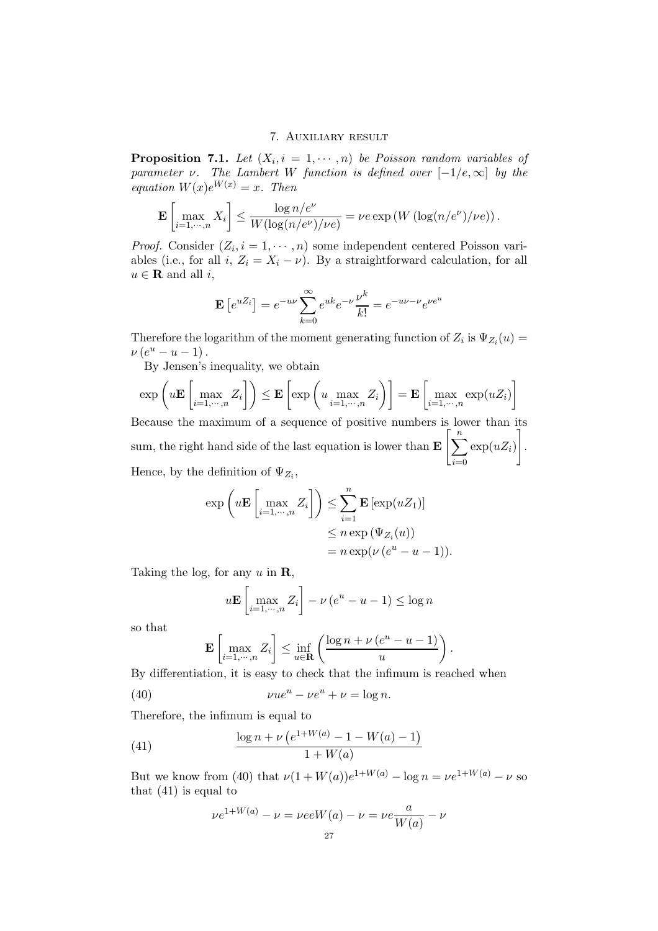#### 7. Auxiliary result

**Proposition 7.1.** Let  $(X_i, i = 1, \dots, n)$  be Poisson random variables of parameter  $\nu$ . The Lambert W function is defined over  $[-1/e, \infty]$  by the equation  $W(x)e^{W(x)} = x$ . Then

$$
\mathbf{E}\left[\max_{i=1,\cdots,n} X_i\right] \leq \frac{\log n/e^{\nu}}{W(\log(n/e^{\nu})/\nu e)} = \nu e \exp\left(W\left(\log(n/e^{\nu})/\nu e\right)\right).
$$

*Proof.* Consider  $(Z_i, i = 1, \dots, n)$  some independent centered Poisson variables (i.e., for all i,  $Z_i = X_i - \nu$ ). By a straightforward calculation, for all  $u \in \mathbf{R}$  and all *i*,

$$
\mathbf{E}\left[e^{uZ_i}\right] = e^{-u\nu} \sum_{k=0}^{\infty} e^{uk} e^{-\nu} \frac{\nu^k}{k!} = e^{-u\nu - \nu} e^{\nu e^u}
$$

Therefore the logarithm of the moment generating function of  $Z_i$  is  $\Psi_{Z_i}(u) =$  $\nu(e^u - u - 1)$ .

By Jensen's inequality, we obtain

$$
\exp\left(u\mathbf{E}\left[\max_{i=1,\cdots,n}Z_i\right]\right) \leq \mathbf{E}\left[\exp\left(u\max_{i=1,\cdots,n}Z_i\right)\right] = \mathbf{E}\left[\max_{i=1,\cdots,n}\exp(uZ_i)\right]
$$

Because the maximum of a sequence of positive numbers is lower than its sum, the right hand side of the last equation is lower than  $\mathbf{E}\left[\sum_{i=1}^{n}$  $i=0$  $\exp(uZ_i)$ 1 . Hence, by the definition of  $\Psi_{Z_i}$ ,

$$
\exp\left(u\mathbf{E}\left[\max_{i=1,\cdots,n}Z_i\right]\right) \leq \sum_{i=1}^n \mathbf{E}\left[\exp(uZ_1)\right]
$$

$$
\leq n \exp\left(\Psi_{Z_i}(u)\right)
$$

$$
= n \exp(\nu\left(e^u - u - 1\right)).
$$

Taking the log, for any  $u$  in  $\mathbf{R}$ ,

$$
u\mathbf{E}\left[\max_{i=1,\cdots,n} Z_i\right] - \nu\left(e^u - u - 1\right) \le \log n
$$

so that

$$
\mathbf{E}\left[\max_{i=1,\cdots,n} Z_i\right] \leq \inf_{u \in \mathbf{R}} \left(\frac{\log n + \nu (e^u - u - 1)}{u}\right).
$$

By differentiation, it is easy to check that the infimum is reached when

(40) 
$$
\nu u e^u - \nu e^u + \nu = \log n.
$$

Therefore, the infimum is equal to

(41) 
$$
\frac{\log n + \nu \left(e^{1+W(a)} - 1 - W(a) - 1\right)}{1 + W(a)}
$$

But we know from (40) that  $\nu(1 + W(a))e^{1+W(a)} - \log n = \nu e^{1+W(a)} - \nu$  so that (41) is equal to

$$
\nu e^{1+W(a)} - \nu = \nu eeW(a) - \nu = \nu e \frac{a}{W(a)} - \nu
$$
  
27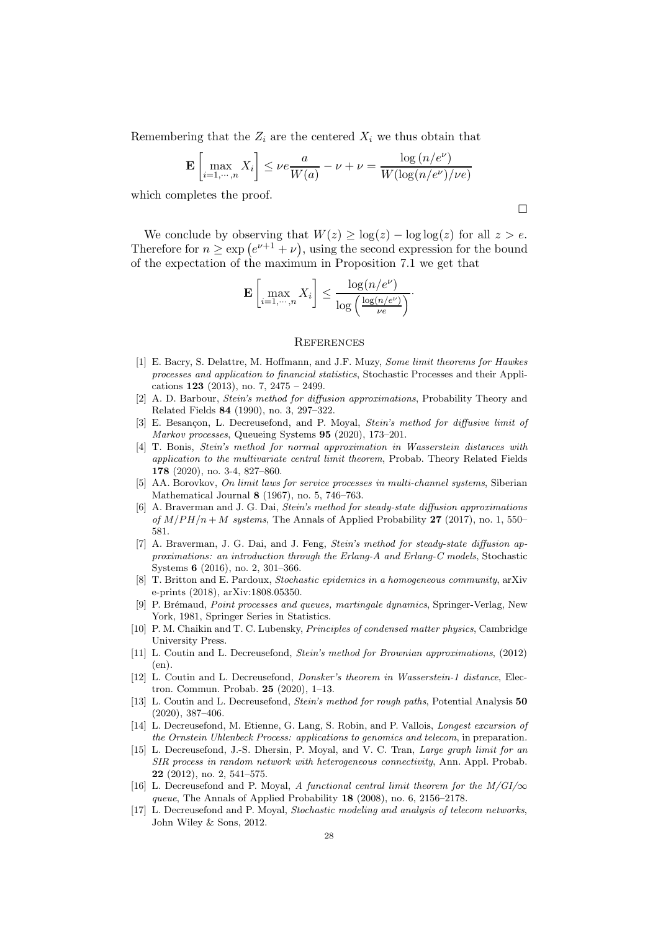Remembering that the  $Z_i$  are the centered  $X_i$  we thus obtain that

$$
\mathbf{E}\left[\max_{i=1,\cdots,n} X_i\right] \le \nu e \frac{a}{W(a)} - \nu + \nu = \frac{\log\left(n/e^{\nu}\right)}{W(\log\left(n/e^{\nu}\right)/\nu e)}
$$

which completes the proof.

We conclude by observing that  $W(z) \geq \log(z) - \log \log(z)$  for all  $z > e$ . Therefore for  $n \geq \exp(e^{\nu+1} + \nu)$ , using the second expression for the bound of the expectation of the maximum in Proposition 7.1 we get that

$$
\mathbf{E}\left[\max_{i=1,\cdots,n} X_i\right] \leq \frac{\log(n/e^{\nu})}{\log\left(\frac{\log(n/e^{\nu})}{\nu e}\right)}.
$$

#### **REFERENCES**

- [1] E. Bacry, S. Delattre, M. Hoffmann, and J.F. Muzy, Some limit theorems for Hawkes processes and application to financial statistics, Stochastic Processes and their Applications 123 (2013), no. 7, 2475 – 2499.
- [2] A. D. Barbour, Stein's method for diffusion approximations, Probability Theory and Related Fields 84 (1990), no. 3, 297–322.
- [3] E. Besançon, L. Decreusefond, and P. Moyal, *Stein's method for diffusive limit of* Markov processes, Queueing Systems 95 (2020), 173–201.
- [4] T. Bonis, Stein's method for normal approximation in Wasserstein distances with application to the multivariate central limit theorem, Probab. Theory Related Fields 178 (2020), no. 3-4, 827–860.
- [5] AA. Borovkov, On limit laws for service processes in multi-channel systems, Siberian Mathematical Journal 8 (1967), no. 5, 746–763.
- [6] A. Braverman and J. G. Dai, Stein's method for steady-state diffusion approximations of  $M/PH/n + M$  systems, The Annals of Applied Probability 27 (2017), no. 1, 550– 581.
- [7] A. Braverman, J. G. Dai, and J. Feng, *Stein's method for steady-state diffusion ap*proximations: an introduction through the Erlang-A and Erlang-C models, Stochastic Systems 6 (2016), no. 2, 301–366.
- [8] T. Britton and E. Pardoux, Stochastic epidemics in a homogeneous community, arXiv e-prints (2018), arXiv:1808.05350.
- [9] P. Brémaud, *Point processes and queues, martingale dynamics*, Springer-Verlag, New York, 1981, Springer Series in Statistics.
- [10] P. M. Chaikin and T. C. Lubensky, Principles of condensed matter physics, Cambridge University Press.
- [11] L. Coutin and L. Decreusefond, Stein's method for Brownian approximations, (2012) (en).
- [12] L. Coutin and L. Decreusefond, Donsker's theorem in Wasserstein-1 distance, Electron. Commun. Probab. 25 (2020), 1–13.
- [13] L. Coutin and L. Decreusefond, Stein's method for rough paths, Potential Analysis 50 (2020), 387–406.
- [14] L. Decreusefond, M. Etienne, G. Lang, S. Robin, and P. Vallois, Longest excursion of the Ornstein Uhlenbeck Process: applications to genomics and telecom, in preparation.
- [15] L. Decreusefond, J.-S. Dhersin, P. Moyal, and V. C. Tran, Large graph limit for an SIR process in random network with heterogeneous connectivity, Ann. Appl. Probab. 22 (2012), no. 2, 541–575.
- [16] L. Decreusefond and P. Moyal, A functional central limit theorem for the  $M/GI/\infty$ queue, The Annals of Applied Probability 18 (2008), no. 6, 2156–2178.
- [17] L. Decreusefond and P. Moyal, *Stochastic modeling and analysis of telecom networks*, John Wiley & Sons, 2012.